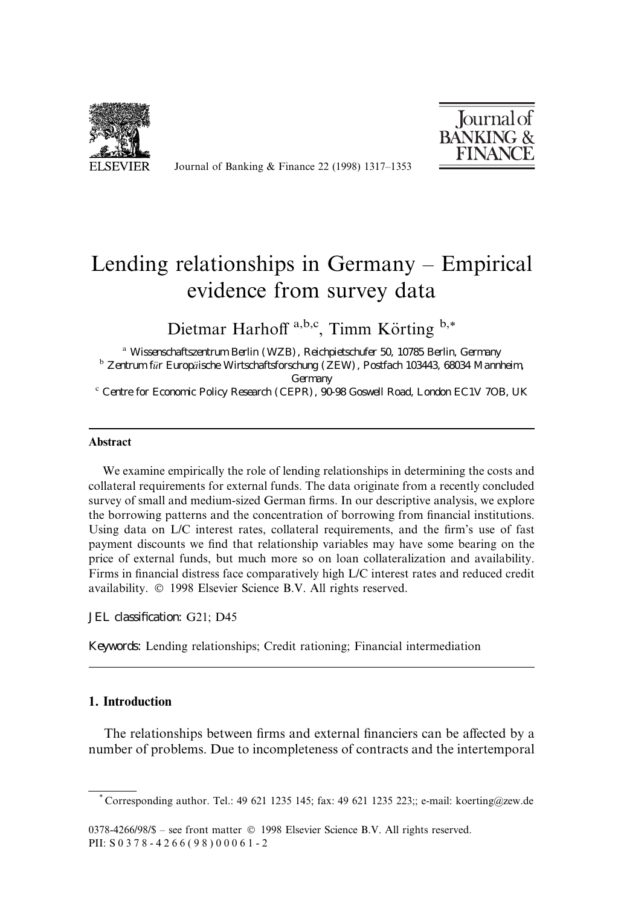

Journal of Banking  $&$  Finance 22 (1998) 1317–1353



# Lending relationships in Germany  $-$  Empirical evidence from survey data

Dietmar Harhoff  $a,b,c$ , Timm Körting  $b,*$ 

<sup>a</sup> Wissenschaftszentrum Berlin (WZB), Reichpietschufer 50, 10785 Berlin, Germany <sup>b</sup> Zentrum fur Europaische Wirtschaftsforschung (ZEW), Postfach 103443, 68034 Mannheim, Germany<br>Centre for Economic Policy Research (CEPR), 90-98 Goswell Road, London EC1V 7OB, UK

#### Abstract

We examine empirically the role of lending relationships in determining the costs and collateral requirements for external funds. The data originate from a recently concluded survey of small and medium-sized German firms. In our descriptive analysis, we explore the borrowing patterns and the concentration of borrowing from financial institutions. Using data on  $L/C$  interest rates, collateral requirements, and the firm's use of fast payment discounts we find that relationship variables may have some bearing on the price of external funds, but much more so on loan collateralization and availability. Firms in financial distress face comparatively high L/C interest rates and reduced credit availability. © 1998 Elsevier Science B.V. All rights reserved.

JEL classification: G21; D45

Keywords: Lending relationships; Credit rationing; Financial intermediation

## 1. Introduction

The relationships between firms and external financiers can be affected by a number of problems. Due to incompleteness of contracts and the intertemporal

<sup>\*</sup> Corresponding author. Tel.: 49 621 1235 145; fax: 49 621 1235 223;; e-mail: koerting@zew.de

<sup>0378-4266/98/\$ -</sup> see front matter © 1998 Elsevier Science B.V. All rights reserved. PII: S 0 3 7 8 - 4 2 6 6 ( 9 8 ) 0 0 0 6 1 - 2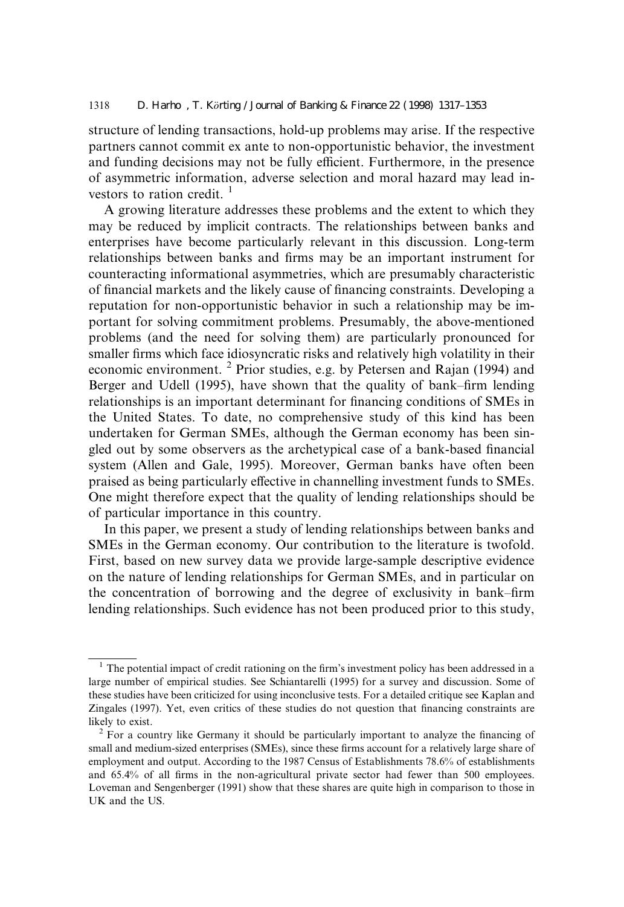structure of lending transactions, hold-up problems may arise. If the respective partners cannot commit ex ante to non-opportunistic behavior, the investment and funding decisions may not be fully efficient. Furthermore, in the presence of asymmetric information, adverse selection and moral hazard may lead investors to ration credit.  $\frac{1}{1}$ 

A growing literature addresses these problems and the extent to which they may be reduced by implicit contracts. The relationships between banks and enterprises have become particularly relevant in this discussion. Long-term relationships between banks and firms may be an important instrument for counteracting informational asymmetries, which are presumably characteristic of financial markets and the likely cause of financing constraints. Developing a reputation for non-opportunistic behavior in such a relationship may be important for solving commitment problems. Presumably, the above-mentioned problems (and the need for solving them) are particularly pronounced for smaller firms which face idiosyncratic risks and relatively high volatility in their economic environment. <sup>2</sup> Prior studies, e.g. by Petersen and Rajan (1994) and Berger and Udell (1995), have shown that the quality of bank–firm lending relationships is an important determinant for financing conditions of SMEs in the United States. To date, no comprehensive study of this kind has been undertaken for German SMEs, although the German economy has been singled out by some observers as the archetypical case of a bank-based financial system (Allen and Gale, 1995). Moreover, German banks have often been praised as being particularly effective in channelling investment funds to SMEs. One might therefore expect that the quality of lending relationships should be of particular importance in this country.

In this paper, we present a study of lending relationships between banks and SMEs in the German economy. Our contribution to the literature is twofold. First, based on new survey data we provide large-sample descriptive evidence on the nature of lending relationships for German SMEs, and in particular on the concentration of borrowing and the degree of exclusivity in bank–firm lending relationships. Such evidence has not been produced prior to this study,

 $1$  The potential impact of credit rationing on the firm's investment policy has been addressed in a large number of empirical studies. See Schiantarelli (1995) for a survey and discussion. Some of these studies have been criticized for using inconclusive tests. For a detailed critique see Kaplan and Zingales (1997). Yet, even critics of these studies do not question that financing constraints are likely to exist.  $\frac{2}{3}$  For a country like Germany it should be particularly important to analyze the financing of

small and medium-sized enterprises (SMEs), since these firms account for a relatively large share of employment and output. According to the 1987 Census of Establishments 78.6% of establishments and  $65.4\%$  of all firms in the non-agricultural private sector had fewer than 500 employees. Loveman and Sengenberger (1991) show that these shares are quite high in comparison to those in UK and the US.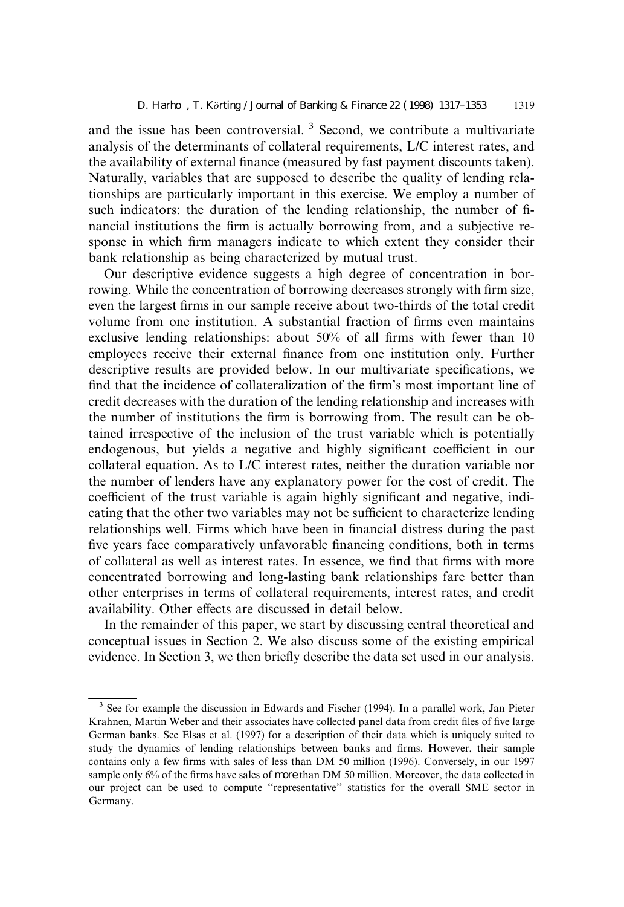and the issue has been controversial.<sup>3</sup> Second, we contribute a multivariate analysis of the determinants of collateral requirements, L/C interest rates, and the availability of external finance (measured by fast payment discounts taken). Naturally, variables that are supposed to describe the quality of lending relationships are particularly important in this exercise. We employ a number of such indicators: the duration of the lending relationship, the number of financial institutions the firm is actually borrowing from, and a subjective response in which firm managers indicate to which extent they consider their bank relationship as being characterized by mutual trust.

Our descriptive evidence suggests a high degree of concentration in borrowing. While the concentration of borrowing decreases strongly with firm size, even the largest firms in our sample receive about two-thirds of the total credit volume from one institution. A substantial fraction of firms even maintains exclusive lending relationships: about  $50\%$  of all firms with fewer than 10 employees receive their external finance from one institution only. Further descriptive results are provided below. In our multivariate specifications, we find that the incidence of collateralization of the firm's most important line of credit decreases with the duration of the lending relationship and increases with the number of institutions the firm is borrowing from. The result can be obtained irrespective of the inclusion of the trust variable which is potentially endogenous, but yields a negative and highly significant coefficient in our collateral equation. As to L/C interest rates, neither the duration variable nor the number of lenders have any explanatory power for the cost of credit. The coefficient of the trust variable is again highly significant and negative, indicating that the other two variables may not be sufficient to characterize lending relationships well. Firms which have been in financial distress during the past five years face comparatively unfavorable financing conditions, both in terms of collateral as well as interest rates. In essence, we find that firms with more concentrated borrowing and long-lasting bank relationships fare better than other enterprises in terms of collateral requirements, interest rates, and credit availability. Other effects are discussed in detail below.

In the remainder of this paper, we start by discussing central theoretical and conceptual issues in Section 2. We also discuss some of the existing empirical evidence. In Section 3, we then briefly describe the data set used in our analysis.

 $3$  See for example the discussion in Edwards and Fischer (1994). In a parallel work, Jan Pieter Krahnen, Martin Weber and their associates have collected panel data from credit files of five large German banks. See Elsas et al. (1997) for a description of their data which is uniquely suited to study the dynamics of lending relationships between banks and firms. However, their sample contains only a few firms with sales of less than DM 50 million (1996). Conversely, in our 1997 sample only  $6\%$  of the firms have sales of more than DM 50 million. Moreover, the data collected in our project can be used to compute "representative" statistics for the overall SME sector in Germany.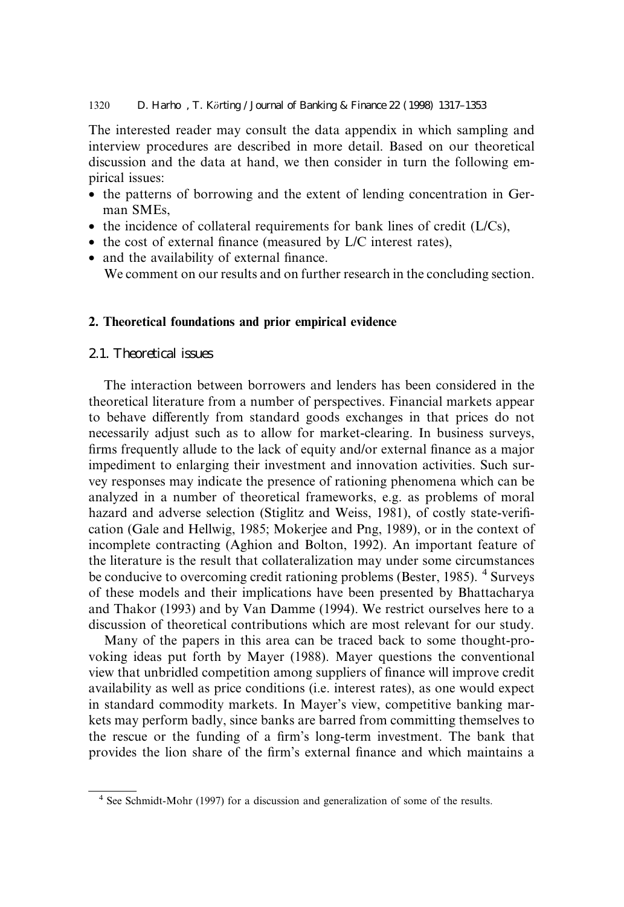#### 1320 D. Harho, T. Korting / Journal of Banking & Finance 22 (1998) 1317–1353

The interested reader may consult the data appendix in which sampling and interview procedures are described in more detail. Based on our theoretical discussion and the data at hand, we then consider in turn the following empirical issues:

- · the patterns of borrowing and the extent of lending concentration in German SMEs,
- $\bullet$  the incidence of collateral requirements for bank lines of credit ( $L/Cs$ ),
- $\bullet$  the cost of external finance (measured by L/C interest rates),
- and the availability of external finance. We comment on our results and on further research in the concluding section.

## 2. Theoretical foundations and prior empirical evidence

2.1. Theoretical issues

The interaction between borrowers and lenders has been considered in the theoretical literature from a number of perspectives. Financial markets appear to behave differently from standard goods exchanges in that prices do not necessarily adjust such as to allow for market-clearing. In business surveys, firms frequently allude to the lack of equity and/or external finance as a major impediment to enlarging their investment and innovation activities. Such survey responses may indicate the presence of rationing phenomena which can be analyzed in a number of theoretical frameworks, e.g. as problems of moral hazard and adverse selection (Stiglitz and Weiss, 1981), of costly state-verification (Gale and Hellwig, 1985; Mokerjee and Png, 1989), or in the context of incomplete contracting (Aghion and Bolton, 1992). An important feature of the literature is the result that collateralization may under some circumstances be conducive to overcoming credit rationing problems (Bester, 1985). <sup>4</sup> Surveys of these models and their implications have been presented by Bhattacharya and Thakor (1993) and by Van Damme (1994). We restrict ourselves here to a discussion of theoretical contributions which are most relevant for our study.

Many of the papers in this area can be traced back to some thought-provoking ideas put forth by Mayer (1988). Mayer questions the conventional view that unbridled competition among suppliers of finance will improve credit availability as well as price conditions (i.e. interest rates), as one would expect in standard commodity markets. In Mayer's view, competitive banking markets may perform badly, since banks are barred from committing themselves to the rescue or the funding of a firm's long-term investment. The bank that provides the lion share of the firm's external finance and which maintains a

<sup>4</sup> See Schmidt-Mohr (1997) for a discussion and generalization of some of the results.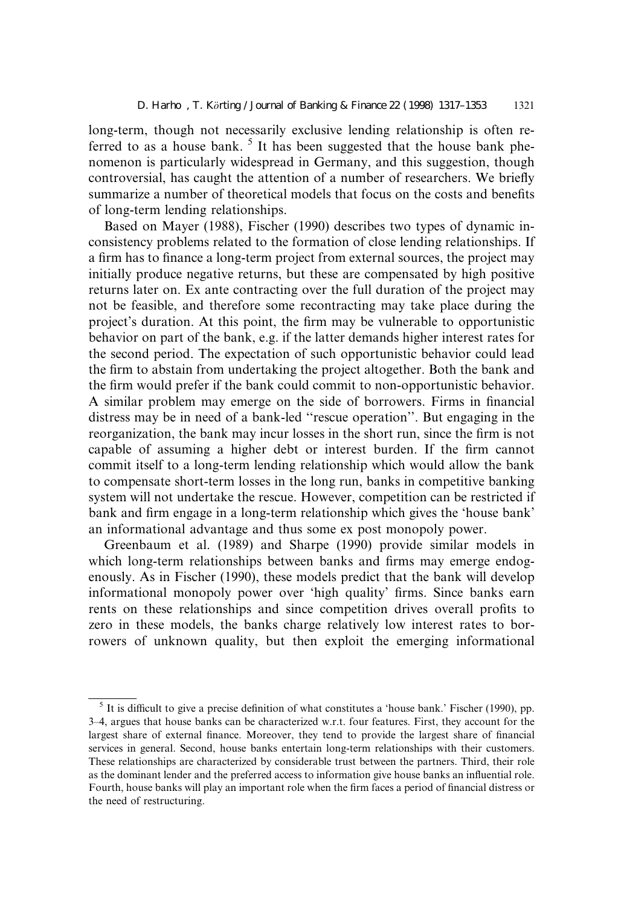long-term, though not necessarily exclusive lending relationship is often referred to as a house bank.  $5$  It has been suggested that the house bank phenomenon is particularly widespread in Germany, and this suggestion, though controversial, has caught the attention of a number of researchers. We briefly summarize a number of theoretical models that focus on the costs and benefits of long-term lending relationships.

Based on Mayer (1988), Fischer (1990) describes two types of dynamic inconsistency problems related to the formation of close lending relationships. If a firm has to finance a long-term project from external sources, the project may initially produce negative returns, but these are compensated by high positive returns later on. Ex ante contracting over the full duration of the project may not be feasible, and therefore some recontracting may take place during the project's duration. At this point, the firm may be vulnerable to opportunistic behavior on part of the bank, e.g. if the latter demands higher interest rates for the second period. The expectation of such opportunistic behavior could lead the firm to abstain from undertaking the project altogether. Both the bank and the firm would prefer if the bank could commit to non-opportunistic behavior. A similar problem may emerge on the side of borrowers. Firms in financial distress may be in need of a bank-led "rescue operation". But engaging in the reorganization, the bank may incur losses in the short run, since the firm is not capable of assuming a higher debt or interest burden. If the firm cannot commit itself to a long-term lending relationship which would allow the bank to compensate short-term losses in the long run, banks in competitive banking system will not undertake the rescue. However, competition can be restricted if bank and firm engage in a long-term relationship which gives the 'house bank' an informational advantage and thus some ex post monopoly power.

Greenbaum et al. (1989) and Sharpe (1990) provide similar models in which long-term relationships between banks and firms may emerge endogenously. As in Fischer (1990), these models predict that the bank will develop informational monopoly power over 'high quality' firms. Since banks earn rents on these relationships and since competition drives overall profits to zero in these models, the banks charge relatively low interest rates to borrowers of unknown quality, but then exploit the emerging informational

 $<sup>5</sup>$  It is difficult to give a precise definition of what constitutes a 'house bank.' Fischer (1990), pp.</sup> 3±4, argues that house banks can be characterized w.r.t. four features. First, they account for the largest share of external finance. Moreover, they tend to provide the largest share of financial services in general. Second, house banks entertain long-term relationships with their customers. These relationships are characterized by considerable trust between the partners. Third, their role as the dominant lender and the preferred access to information give house banks an influential role. Fourth, house banks will play an important role when the firm faces a period of financial distress or the need of restructuring.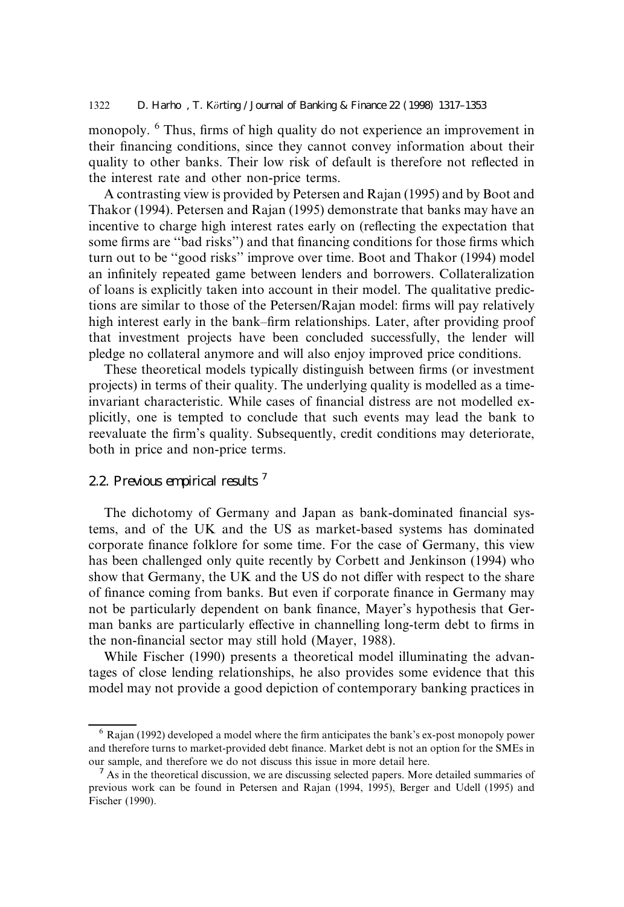monopoly. <sup>6</sup> Thus, firms of high quality do not experience an improvement in their financing conditions, since they cannot convey information about their quality to other banks. Their low risk of default is therefore not reflected in the interest rate and other non-price terms.

A contrasting view is provided by Petersen and Rajan (1995) and by Boot and Thakor (1994). Petersen and Rajan (1995) demonstrate that banks may have an incentive to charge high interest rates early on (reflecting the expectation that some firms are "bad risks") and that financing conditions for those firms which turn out to be "good risks" improve over time. Boot and Thakor (1994) model an infinitely repeated game between lenders and borrowers. Collateralization of loans is explicitly taken into account in their model. The qualitative predictions are similar to those of the Petersen/Rajan model: firms will pay relatively high interest early in the bank-firm relationships. Later, after providing proof that investment projects have been concluded successfully, the lender will pledge no collateral anymore and will also enjoy improved price conditions.

These theoretical models typically distinguish between firms (or investment projects) in terms of their quality. The underlying quality is modelled as a timeinvariant characteristic. While cases of financial distress are not modelled explicitly, one is tempted to conclude that such events may lead the bank to reevaluate the firm's quality. Subsequently, credit conditions may deteriorate, both in price and non-price terms.

# 2.2. Previous empirical results<sup>7</sup>

The dichotomy of Germany and Japan as bank-dominated financial systems, and of the UK and the US as market-based systems has dominated corporate finance folklore for some time. For the case of Germany, this view has been challenged only quite recently by Corbett and Jenkinson (1994) who show that Germany, the UK and the US do not differ with respect to the share of finance coming from banks. But even if corporate finance in Germany may not be particularly dependent on bank finance, Mayer's hypothesis that German banks are particularly effective in channelling long-term debt to firms in the non-financial sector may still hold (Mayer, 1988).

While Fischer (1990) presents a theoretical model illuminating the advantages of close lending relationships, he also provides some evidence that this model may not provide a good depiction of contemporary banking practices in

 $6$  Rajan (1992) developed a model where the firm anticipates the bank's ex-post monopoly power and therefore turns to market-provided debt finance. Market debt is not an option for the SMEs in our sample, and therefore we do not discuss this issue in more detail here.

 $<sup>7</sup>$  As in the theoretical discussion, we are discussing selected papers. More detailed summaries of</sup> previous work can be found in Petersen and Rajan (1994, 1995), Berger and Udell (1995) and Fischer (1990).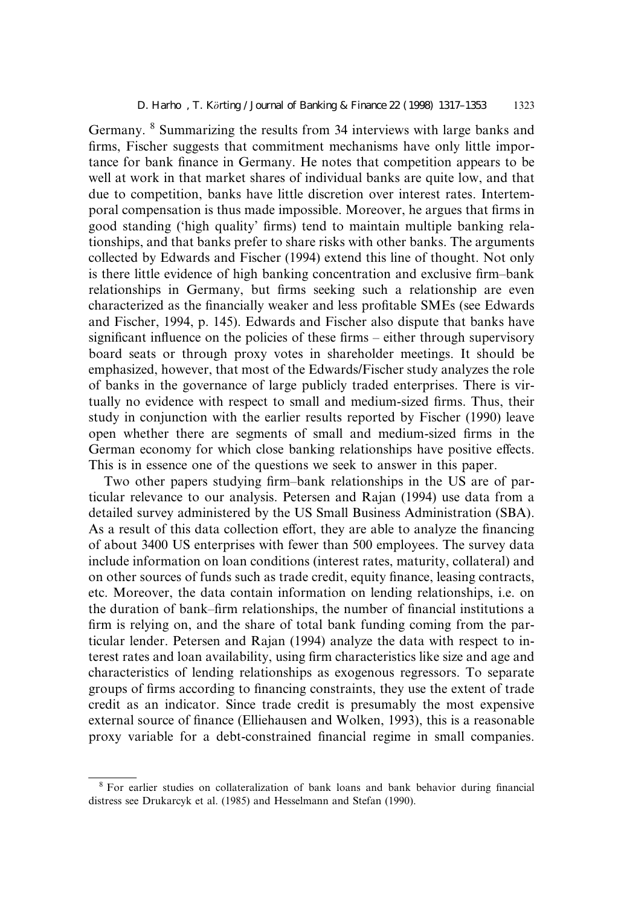Germany. <sup>8</sup> Summarizing the results from 34 interviews with large banks and firms, Fischer suggests that commitment mechanisms have only little importance for bank finance in Germany. He notes that competition appears to be well at work in that market shares of individual banks are quite low, and that due to competition, banks have little discretion over interest rates. Intertemporal compensation is thus made impossible. Moreover, he argues that firms in good standing ('high quality' firms) tend to maintain multiple banking relationships, and that banks prefer to share risks with other banks. The arguments collected by Edwards and Fischer (1994) extend this line of thought. Not only is there little evidence of high banking concentration and exclusive firm-bank relationships in Germany, but firms seeking such a relationship are even characterized as the financially weaker and less profitable SMEs (see Edwards and Fischer, 1994, p. 145). Edwards and Fischer also dispute that banks have significant influence on the policies of these firms - either through supervisory board seats or through proxy votes in shareholder meetings. It should be emphasized, however, that most of the Edwards/Fischer study analyzes the role of banks in the governance of large publicly traded enterprises. There is virtually no evidence with respect to small and medium-sized firms. Thus, their study in conjunction with the earlier results reported by Fischer (1990) leave open whether there are segments of small and medium-sized firms in the German economy for which close banking relationships have positive effects. This is in essence one of the questions we seek to answer in this paper.

Two other papers studying firm-bank relationships in the US are of particular relevance to our analysis. Petersen and Rajan (1994) use data from a detailed survey administered by the US Small Business Administration (SBA). As a result of this data collection effort, they are able to analyze the financing of about 3400 US enterprises with fewer than 500 employees. The survey data include information on loan conditions (interest rates, maturity, collateral) and on other sources of funds such as trade credit, equity finance, leasing contracts, etc. Moreover, the data contain information on lending relationships, i.e. on the duration of bank–firm relationships, the number of financial institutions a firm is relying on, and the share of total bank funding coming from the particular lender. Petersen and Rajan (1994) analyze the data with respect to interest rates and loan availability, using firm characteristics like size and age and characteristics of lending relationships as exogenous regressors. To separate groups of firms according to financing constraints, they use the extent of trade credit as an indicator. Since trade credit is presumably the most expensive external source of finance (Elliehausen and Wolken, 1993), this is a reasonable proxy variable for a debt-constrained financial regime in small companies.

<sup>&</sup>lt;sup>8</sup> For earlier studies on collateralization of bank loans and bank behavior during financial distress see Drukarcyk et al. (1985) and Hesselmann and Stefan (1990).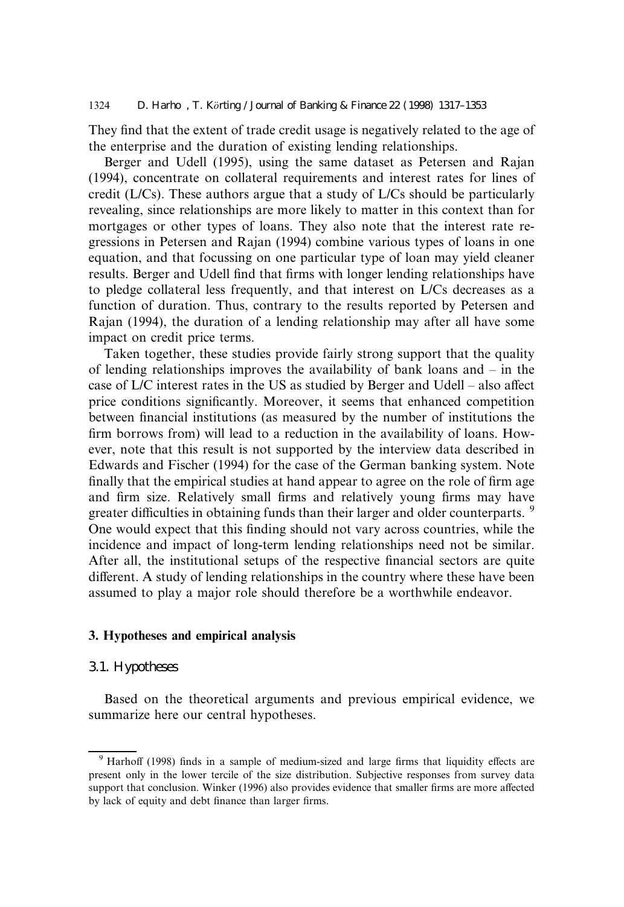They find that the extent of trade credit usage is negatively related to the age of the enterprise and the duration of existing lending relationships.

Berger and Udell (1995), using the same dataset as Petersen and Rajan (1994), concentrate on collateral requirements and interest rates for lines of credit (L/Cs). These authors argue that a study of L/Cs should be particularly revealing, since relationships are more likely to matter in this context than for mortgages or other types of loans. They also note that the interest rate regressions in Petersen and Rajan (1994) combine various types of loans in one equation, and that focussing on one particular type of loan may yield cleaner results. Berger and Udell find that firms with longer lending relationships have to pledge collateral less frequently, and that interest on L/Cs decreases as a function of duration. Thus, contrary to the results reported by Petersen and Rajan (1994), the duration of a lending relationship may after all have some impact on credit price terms.

Taken together, these studies provide fairly strong support that the quality of lending relationships improves the availability of bank loans and  $-\text{ in the }$ case of  $L/C$  interest rates in the US as studied by Berger and Udell – also affect price conditions significantly. Moreover, it seems that enhanced competition between financial institutions (as measured by the number of institutions the firm borrows from) will lead to a reduction in the availability of loans. However, note that this result is not supported by the interview data described in Edwards and Fischer (1994) for the case of the German banking system. Note finally that the empirical studies at hand appear to agree on the role of firm age and firm size. Relatively small firms and relatively young firms may have greater difficulties in obtaining funds than their larger and older counterparts. <sup>9</sup> One would expect that this finding should not vary across countries, while the incidence and impact of long-term lending relationships need not be similar. After all, the institutional setups of the respective financial sectors are quite different. A study of lending relationships in the country where these have been assumed to play a major role should therefore be a worthwhile endeavor.

## 3. Hypotheses and empirical analysis

## 3.1. Hypotheses

Based on the theoretical arguments and previous empirical evidence, we summarize here our central hypotheses.

 $9$  Harhoff (1998) finds in a sample of medium-sized and large firms that liquidity effects are present only in the lower tercile of the size distribution. Subjective responses from survey data support that conclusion. Winker (1996) also provides evidence that smaller firms are more affected by lack of equity and debt finance than larger firms.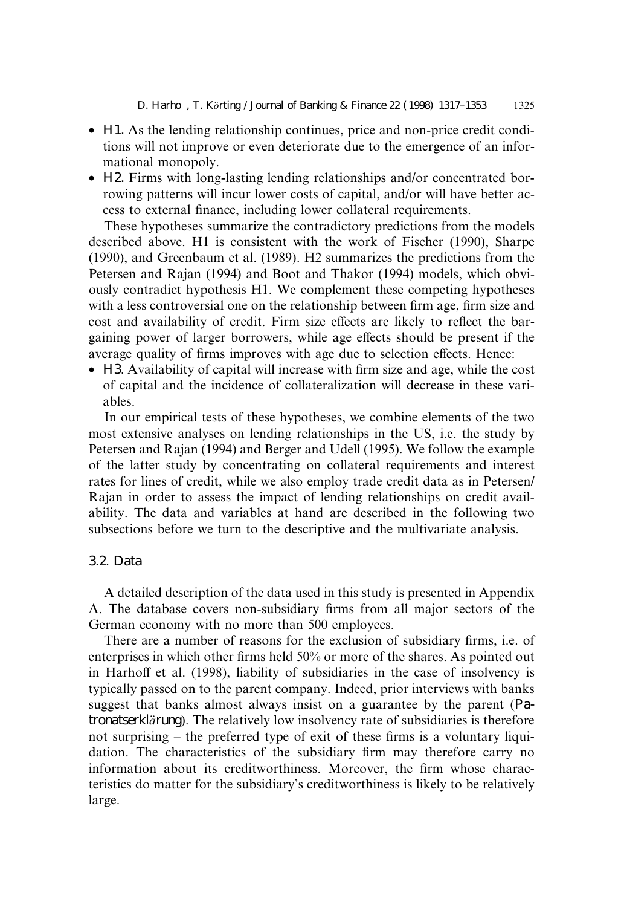- · H1. As the lending relationship continues, price and non-price credit conditions will not improve or even deteriorate due to the emergence of an informational monopoly.
- · H2. Firms with long-lasting lending relationships and/or concentrated borrowing patterns will incur lower costs of capital, and/or will have better access to external finance, including lower collateral requirements.

These hypotheses summarize the contradictory predictions from the models described above. H1 is consistent with the work of Fischer (1990), Sharpe (1990), and Greenbaum et al. (1989). H2 summarizes the predictions from the Petersen and Rajan (1994) and Boot and Thakor (1994) models, which obviously contradict hypothesis H1. We complement these competing hypotheses with a less controversial one on the relationship between firm age, firm size and cost and availability of credit. Firm size effects are likely to reflect the bargaining power of larger borrowers, while age effects should be present if the average quality of firms improves with age due to selection effects. Hence:

 $\bullet$  H3. Availability of capital will increase with firm size and age, while the cost of capital and the incidence of collateralization will decrease in these variables.

In our empirical tests of these hypotheses, we combine elements of the two most extensive analyses on lending relationships in the US, i.e. the study by Petersen and Rajan (1994) and Berger and Udell (1995). We follow the example of the latter study by concentrating on collateral requirements and interest rates for lines of credit, while we also employ trade credit data as in Petersen/ Rajan in order to assess the impact of lending relationships on credit availability. The data and variables at hand are described in the following two subsections before we turn to the descriptive and the multivariate analysis.

# 3.2. Data

A detailed description of the data used in this study is presented in Appendix A. The database covers non-subsidiary firms from all major sectors of the German economy with no more than 500 employees.

There are a number of reasons for the exclusion of subsidiary firms, i.e. of enterprises in which other firms held  $50\%$  or more of the shares. As pointed out in Harhoff et al. (1998), liability of subsidiaries in the case of insolvency is typically passed on to the parent company. Indeed, prior interviews with banks suggest that banks almost always insist on a guarantee by the parent (Patronatserklarung). The relatively low insolvency rate of subsidiaries is therefore not surprising  $-$  the preferred type of exit of these firms is a voluntary liquidation. The characteristics of the subsidiary firm may therefore carry no information about its creditworthiness. Moreover, the firm whose characteristics do matter for the subsidiary's creditworthiness is likely to be relatively large.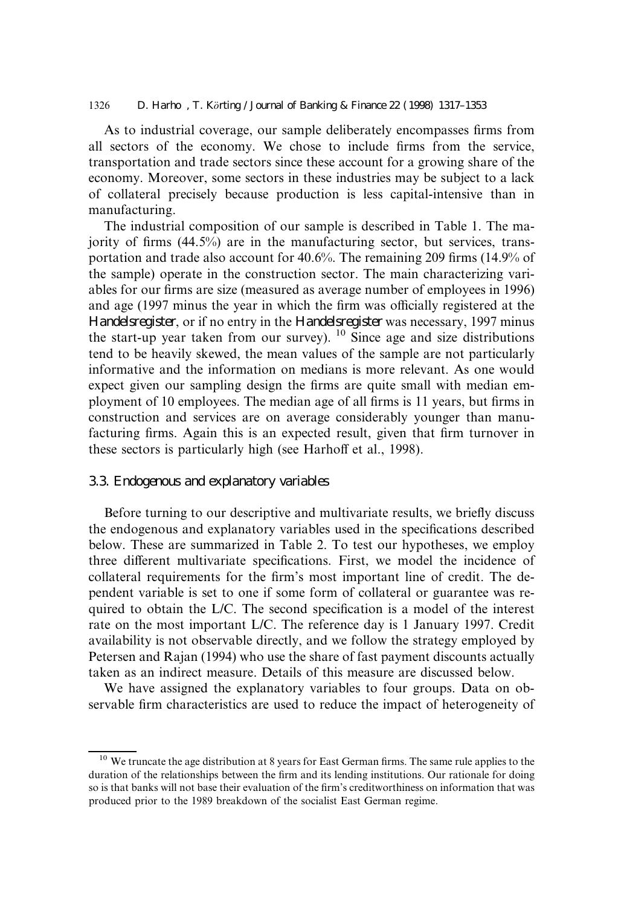1326 D. Harho, T. Körting / Journal of Banking & Finance 22 (1998) 1317–1353

As to industrial coverage, our sample deliberately encompasses firms from all sectors of the economy. We chose to include firms from the service, transportation and trade sectors since these account for a growing share of the economy. Moreover, some sectors in these industries may be subject to a lack of collateral precisely because production is less capital-intensive than in manufacturing.

The industrial composition of our sample is described in Table 1. The majority of firms  $(44.5\%)$  are in the manufacturing sector, but services, transportation and trade also account for  $40.6\%$ . The remaining 209 firms (14.9% of the sample) operate in the construction sector. The main characterizing variables for our firms are size (measured as average number of employees in 1996) and age (1997 minus the year in which the firm was officially registered at the Handelsregister, or if no entry in the Handelsregister was necessary, 1997 minus the start-up year taken from our survey).  $^{10}$  Since age and size distributions tend to be heavily skewed, the mean values of the sample are not particularly informative and the information on medians is more relevant. As one would expect given our sampling design the firms are quite small with median employment of 10 employees. The median age of all firms is 11 years, but firms in construction and services are on average considerably younger than manufacturing firms. Again this is an expected result, given that firm turnover in these sectors is particularly high (see Harhoff et al., 1998).

#### 3.3. Endogenous and explanatory variables

Before turning to our descriptive and multivariate results, we briefly discuss the endogenous and explanatory variables used in the specifications described below. These are summarized in Table 2. To test our hypotheses, we employ three different multivariate specifications. First, we model the incidence of collateral requirements for the firm's most important line of credit. The dependent variable is set to one if some form of collateral or guarantee was required to obtain the L/C. The second specification is a model of the interest rate on the most important L/C. The reference day is 1 January 1997. Credit availability is not observable directly, and we follow the strategy employed by Petersen and Rajan (1994) who use the share of fast payment discounts actually taken as an indirect measure. Details of this measure are discussed below.

We have assigned the explanatory variables to four groups. Data on observable firm characteristics are used to reduce the impact of heterogeneity of

 $10$  We truncate the age distribution at 8 years for East German firms. The same rule applies to the duration of the relationships between the firm and its lending institutions. Our rationale for doing so is that banks will not base their evaluation of the firm's creditworthiness on information that was produced prior to the 1989 breakdown of the socialist East German regime.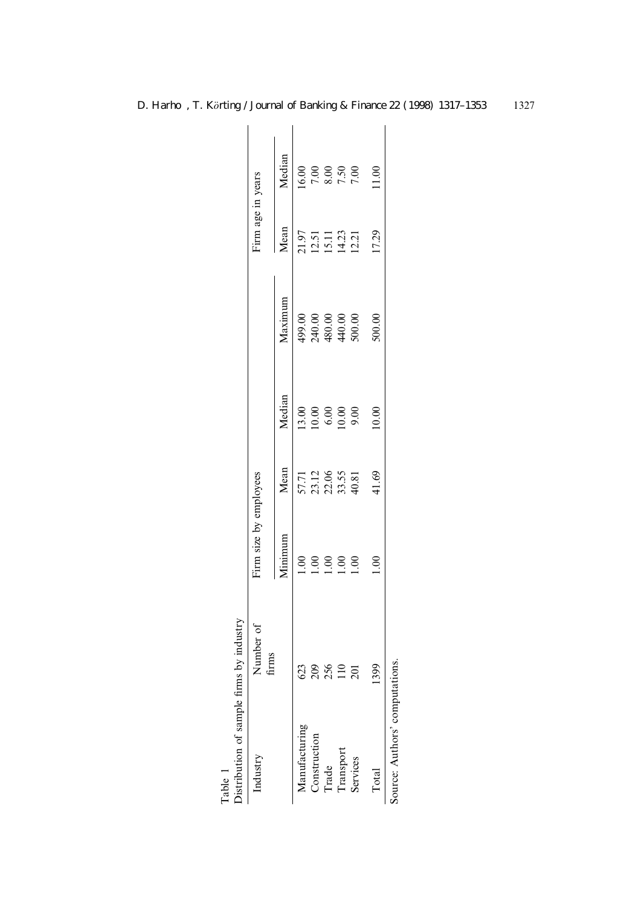| Distribution of sample firms by industry<br>Table 1 |                            |                        |                                  |                                                      |                                              |                                  |                |
|-----------------------------------------------------|----------------------------|------------------------|----------------------------------|------------------------------------------------------|----------------------------------------------|----------------------------------|----------------|
| Industry                                            | Number of<br>$f_{\rm rms}$ | Firm size by employees |                                  |                                                      |                                              | Firm age in years                |                |
|                                                     |                            | Minimum                | Mean                             | Median                                               | Maximum                                      | Mean                             | Median         |
| Manufacturing                                       | 623                        |                        | 57.71                            | 13.00                                                |                                              |                                  | 16.00          |
| Construction                                        |                            |                        |                                  |                                                      | $499.00$<br>$740.00$<br>$440.00$<br>$440.00$ | 21.51<br>12.51<br>14.23<br>12.21 |                |
| Trade                                               | 209                        | $\frac{1}{2}$          | 23.12<br>22.06<br>33.55<br>40.81 | $\begin{array}{c} 0.00 \\ 6.00 \\ 10.00 \end{array}$ |                                              |                                  | $7.00$<br>8.00 |
|                                                     | 110                        |                        |                                  |                                                      |                                              |                                  | 7.50           |
| Transport<br>Services                               | $\overline{201}$           |                        |                                  | 9.00                                                 |                                              |                                  | 7.00           |
| Total                                               | 1399                       |                        | 41.69                            | 10.00                                                | 500.00                                       | 17.29                            | 1.00           |
| Source: Authors' computations.                      |                            |                        |                                  |                                                      |                                              |                                  |                |

| ٢<br>$\ddot{\phantom{0}}$<br>ţ<br>C. the first |
|------------------------------------------------|
| ì<br>j                                         |
|                                                |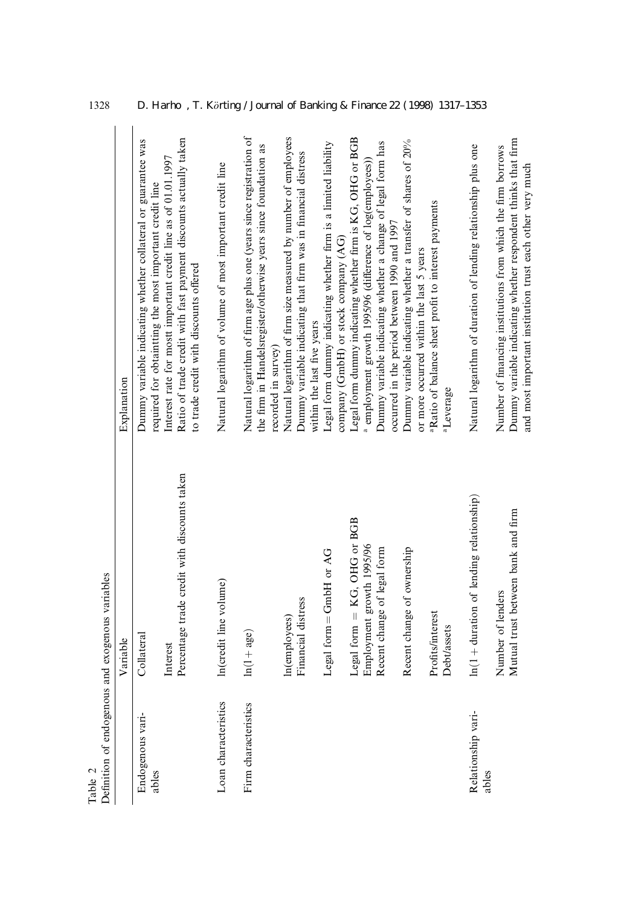| Table 2                   | Definition of endogenous and exogenous variables           |                                                                                                                                                                                            |
|---------------------------|------------------------------------------------------------|--------------------------------------------------------------------------------------------------------------------------------------------------------------------------------------------|
|                           | Variable                                                   | Explanation                                                                                                                                                                                |
| Endogenous vari-<br>ables | Collateral                                                 | Dummy variable indicating whether collateral or guarantee was<br>required for obtaintting the most important credit line                                                                   |
|                           | Percentage trade credit with discounts taken<br>Interest   | Ratio of trade credit with fast payment discounts actually taken<br>Interest rate for mostt important credit line as of 01.01.1997<br>to trade credit with discounts offered               |
| Loan characteristics      | In(credit line volume)                                     | Natural logarithm of volume of most important credit line                                                                                                                                  |
| Firm characteristics      | $ln(1 + age)$                                              | Natural logarithm of firm age plus one (years since registration of<br>the firm in Handelsregister/otherwise years since foundation as                                                     |
|                           | Financial distress<br>In(employees)                        | Natural logarithm of firm size measured by number of employees<br>Dummy variable indicating that firm was in financial distress<br>within the last five years<br>recorded in survey)       |
|                           | Legal form = GmbH or AG                                    | Legal form dummy indicating whether firm is a limited liability                                                                                                                            |
|                           | Legal form $=$ KG, OHG or BGB<br>Employment growth 1995/96 | Legal form dummy indicating whether firm is KG, OHG or BGB<br><sup>a</sup> employment growth 1995/96 (difference of log(employees))<br>company (GmbH) or stock company (AG)                |
|                           | Recent change of legal form<br>Recent change of ownership  | Dummy variable indicating whether a transfer of shares of 20%<br>Dummy variable indicating whether a change of legal form has<br>occurred in the period between 1990 and 1997              |
|                           | Profits/interest<br><b>Debt/assets</b>                     | <sup>a</sup> Ratio of balance sheet profit to interest payments<br>or more occurred within the last 5 years<br>aLeverage                                                                   |
| Relationship vari-        | $ln(1 + duration of lending relationship)$                 | Natural logarithm of duration of lending relationship plus one                                                                                                                             |
| ables                     | Mutual trust between bank and firm<br>Number of lenders    | Dummy variable indicating whether respondent thinks that firm<br>Number of financing institutions from which the firm borrows<br>and most important institution trust each other very much |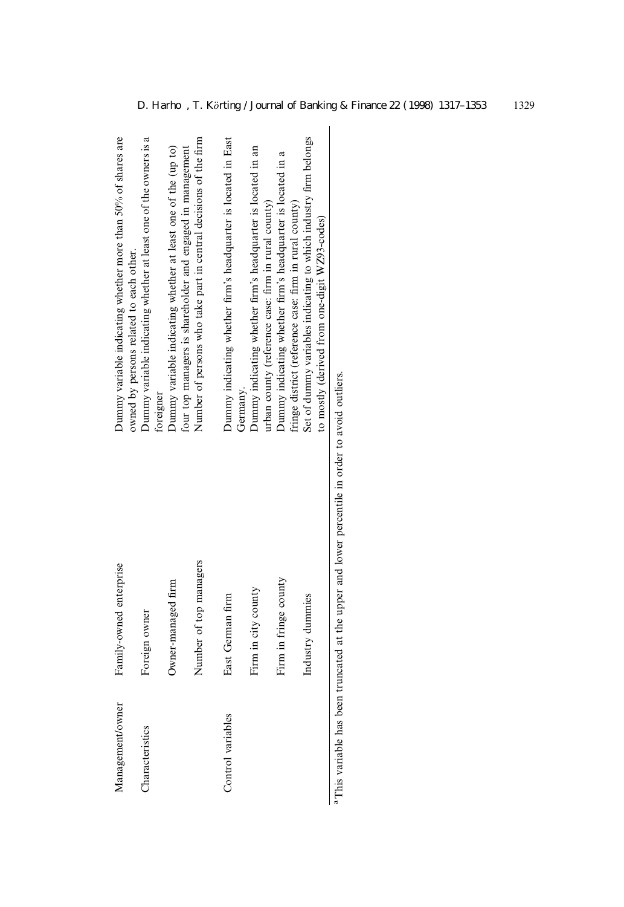| Management/owner  | Family-owned enterprise | Dummy variable indicating whether more than 50% of shares are<br>owned by persons related to each other.                                                                    |
|-------------------|-------------------------|-----------------------------------------------------------------------------------------------------------------------------------------------------------------------------|
| Characteristics   | Foreign owner           | Dummy variable indicating whether at least one of the owners is a                                                                                                           |
|                   | Owner-managed firm      | Dummy variable indicating whether at least one of the (up to)<br>foreigner                                                                                                  |
|                   | Number of top managers  | Number of persons who take part in central decisions of the firm<br>four top managers is shareholder and engaged in management                                              |
| Control variables | East German firm        | Dummy indicating whether firm's headquarter is located in East                                                                                                              |
|                   | Firm in city county     | Dummy indicating whether firm's headquarter is located in an<br>Germany.                                                                                                    |
|                   | Firm in fringe county   | Dummy indicating whether firm's headquarter is located in a<br>urban county (reference case: firm in rural county)                                                          |
|                   | Industry dummies        | Set of dummy variables indicating to which industry firm belongs<br>fringe district (reference case: firm in rural county)<br>to mostly (derived from one-digit WZ93-codes) |

<sup>a</sup> This variable has been truncated at the upper and lower percentile in order to avoid outliers. aThis variable has been truncated at the upper and lower percentile in order to avoid outliers.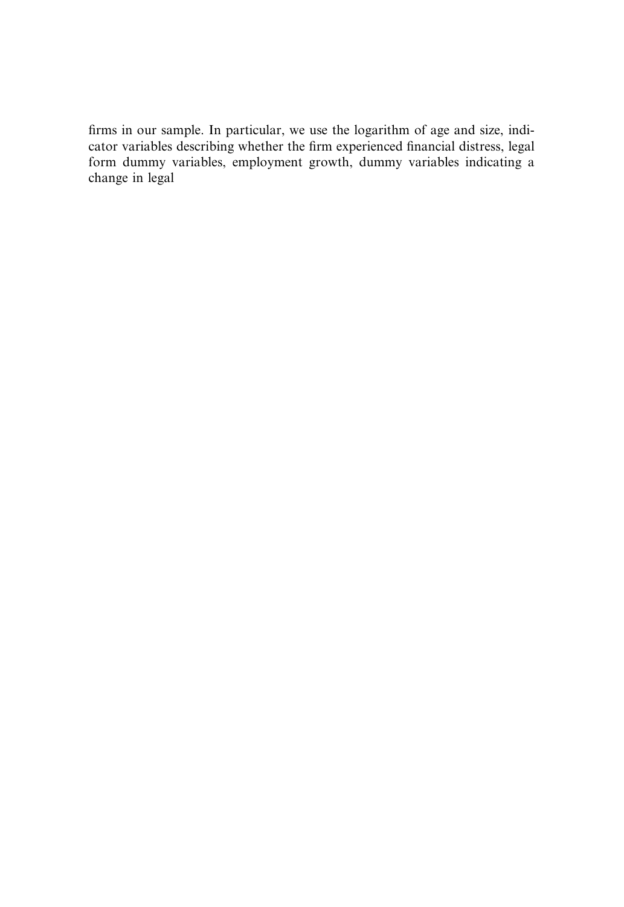firms in our sample. In particular, we use the logarithm of age and size, indicator variabl**e**s ides sribeing whether the 1 ft 651 experienced pinancial distress, legal form dummy variables, employment growth, dummy variables indicating a change in legal tblEj1de5sri)einThv2Gthe 23 the fit on experien Dto financial distress, legal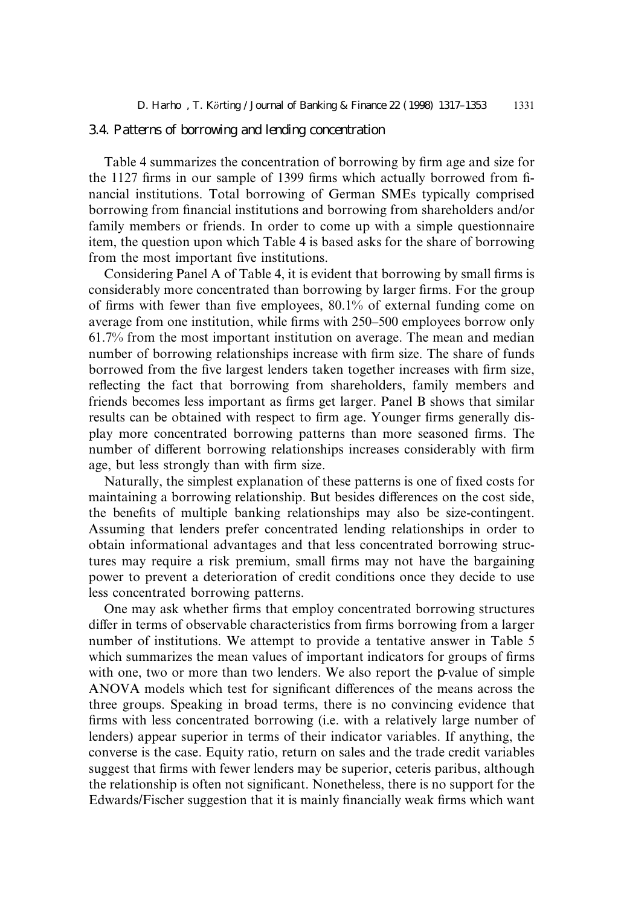# 3.4. Patterns of borrowing and lending concentration

Table 4 summarizes the concentration of borrowing by firm age and size for the 1127 firms in our sample of 1399 firms which actually borrowed from financial institutions. Total borrowing of German SMEs typically comprised borrowing from financial institutions and borrowing from shareholders and/or family members or friends. In order to come up with a simple questionnaire item, the question upon which Table 4 is based asks for the share of borrowing from the most important five institutions.

Considering Panel A of Table 4, it is evident that borrowing by small firms is considerably more concentrated than borrowing by larger firms. For the group of firms with fewer than five employees,  $80.1\%$  of external funding come on average from one institution, while firms with 250–500 employees borrow only 61.7% from the most important institution on average. The mean and median number of borrowing relationships increase with firm size. The share of funds borrowed from the five largest lenders taken together increases with firm size, reflecting the fact that borrowing from shareholders, family members and friends becomes less important as firms get larger. Panel B shows that similar results can be obtained with respect to firm age. Younger firms generally display more concentrated borrowing patterns than more seasoned firms. The number of different borrowing relationships increases considerably with firm age, but less strongly than with firm size.

Naturally, the simplest explanation of these patterns is one of fixed costs for maintaining a borrowing relationship. But besides differences on the cost side, the benefits of multiple banking relationships may also be size-contingent. Assuming that lenders prefer concentrated lending relationships in order to obtain informational advantages and that less concentrated borrowing structures may require a risk premium, small firms may not have the bargaining power to prevent a deterioration of credit conditions once they decide to use less concentrated borrowing patterns.

One may ask whether firms that employ concentrated borrowing structures differ in terms of observable characteristics from firms borrowing from a larger number of institutions. We attempt to provide a tentative answer in Table 5 which summarizes the mean values of important indicators for groups of firms with one, two or more than two lenders. We also report the p-value of simple ANOVA models which test for significant differences of the means across the three groups. Speaking in broad terms, there is no convincing evidence that firms with less concentrated borrowing (i.e. with a relatively large number of lenders) appear superior in terms of their indicator variables. If anything, the converse is the case. Equity ratio, return on sales and the trade credit variables suggest that firms with fewer lenders may be superior, ceteris paribus, although the relationship is often not significant. Nonetheless, there is no support for the Edwards/Fischer suggestion that it is mainly financially weak firms which want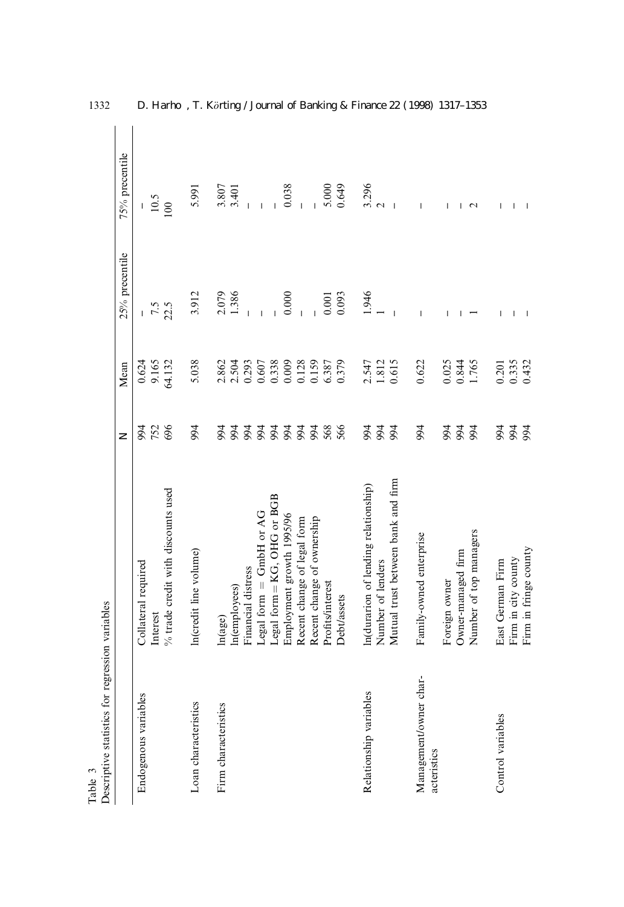| Descriptive statistics for regression variables<br>Table 3 |                                      |                       |        |                          |                          |
|------------------------------------------------------------|--------------------------------------|-----------------------|--------|--------------------------|--------------------------|
|                                                            |                                      | $\overline{z}$        | Mean   | 25% precentile           | 75% precentile           |
| Endogenous variables                                       | Collateral required                  | 94                    | 0.624  | $\mathsf{L}$             |                          |
|                                                            | Interest                             | 752                   | 9.165  | 7.5                      | 10.5                     |
|                                                            | % trade credit with discounts used   | 696                   | 64.132 | 22.5                     | 100                      |
| Loan characteristics                                       | In(credit line volume)               | 994                   | 5.038  | 3.912                    | 5.991                    |
| Firm characteristics                                       | In(age)                              | 94                    | 2.862  |                          | 3.807                    |
|                                                            | In(employees)                        | 994                   | 2.504  | 2.079<br>1.386           | 3.401                    |
|                                                            | Financial distress                   |                       | 0.293  |                          |                          |
|                                                            | Legal form = GmbH or AG              | <b>22222</b><br>22222 | 0.607  |                          |                          |
|                                                            | Legal form = KG, OHG or BGB          |                       | 0.338  |                          |                          |
|                                                            | Employment growth 1995/96            |                       | 0.009  | 0.000                    | 0.038                    |
|                                                            | Recent change of legal form          |                       | 0.128  |                          |                          |
|                                                            | Recent change of ownership           | 994                   | 0.159  |                          |                          |
|                                                            | Profits/interest                     | 568                   | 6.387  | 0.001                    | 5.000                    |
|                                                            | <b>Debt/assets</b>                   | 566                   | 0.379  | 0.093                    | 0.649                    |
| Relationship variables                                     | In(durarion of lending relationship) | 994                   | 2.547  | 1.946                    | 3.296                    |
|                                                            | Number of lenders                    |                       | 1.812  |                          | $\sim$                   |
|                                                            | Mutual trust between bank and firm   | 994                   | 0.615  | $\overline{1}$           | $\overline{\phantom{a}}$ |
| Management/owner char-<br>acteristics                      | Family-owned enterprise              | 994                   | 0.622  | $\overline{\phantom{a}}$ |                          |
|                                                            | Foreign owner                        | 994                   | 0.025  |                          |                          |
|                                                            | Owner-managed firm                   | 994<br>94             | 0.844  |                          |                          |
|                                                            | Number of top managers               |                       | 1.765  |                          | $\mathbf{\sim}$          |
| Control variables                                          | East German Firm                     | 994                   | 0.201  | I                        |                          |
|                                                            | Firm in city county                  | <b>594</b>            | 0.335  |                          |                          |
|                                                            | Firm in fringe county                |                       | 0.432  |                          |                          |

1332 D. Harho, T. Körting / Journal of Banking & Finance 22 (1998) 1317-1353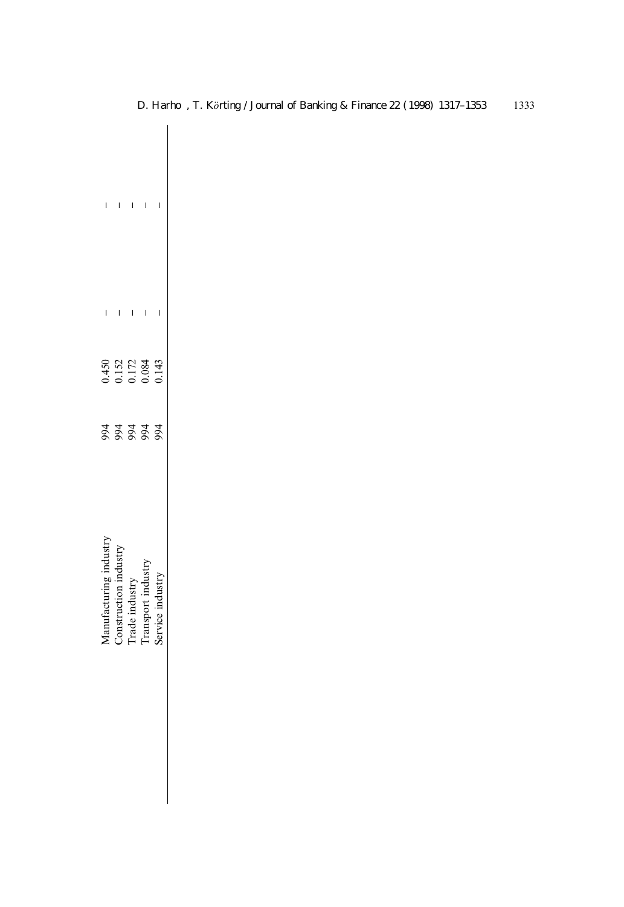|                    | $\mathbf{I}=\mathbf{I}=\mathbf{I}=\mathbf{I}$ |               |              | $\begin{array}{c} \end{array}$ |
|--------------------|-----------------------------------------------|---------------|--------------|--------------------------------|
|                    | $\Gamma$ , $\Gamma$ , $\Gamma$ ,              |               | $\mathbf{I}$ | $\overline{\phantom{0}}$       |
|                    | 0.450<br>0.152<br>0.000<br>0.000              |               |              | 0.143                          |
|                    | <u>z z z z z</u>                              |               |              |                                |
| lanufacturing indu | onstruction inc                               | rade industry | unsport ind  |                                |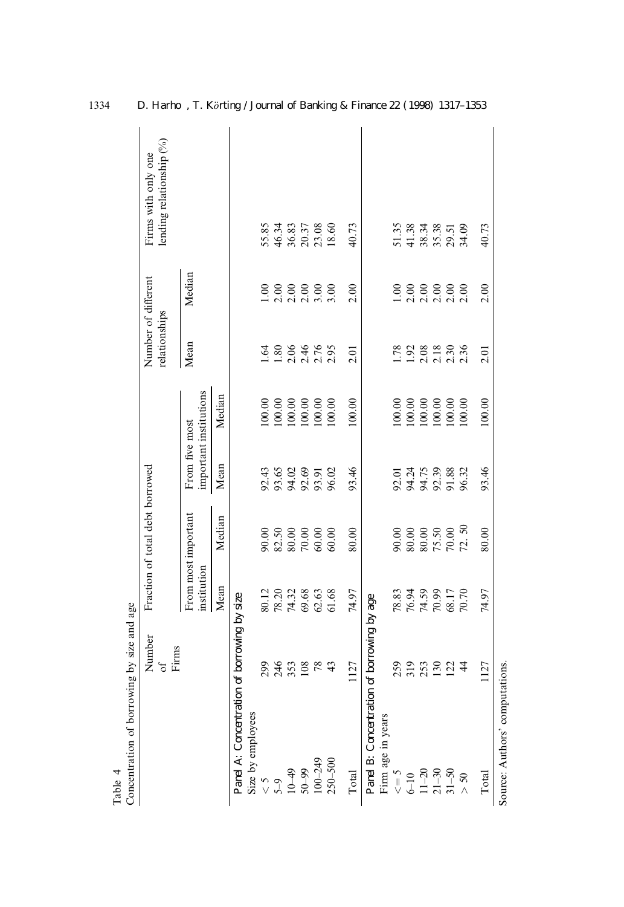| Concentration of borrowing by size and age<br>Table 4 |                      |                                  |                                 |                                           |                        |                                      |               |                                                 |
|-------------------------------------------------------|----------------------|----------------------------------|---------------------------------|-------------------------------------------|------------------------|--------------------------------------|---------------|-------------------------------------------------|
|                                                       | Number<br>Firms<br>J |                                  | Fraction of total debt borrowed |                                           |                        | Number of different<br>relationships |               | lending relationship (%)<br>Firms with only one |
|                                                       |                      | institution                      | From most important             | From five most                            | important institutions | Mean                                 | Median        |                                                 |
|                                                       |                      | Mean                             | Median                          | Mean                                      | Median                 |                                      |               |                                                 |
| Panel A: Concentration of borrowing by size           |                      |                                  |                                 |                                           |                        |                                      |               |                                                 |
| Size by employees                                     |                      |                                  |                                 |                                           |                        |                                      |               |                                                 |
|                                                       | 299                  |                                  | 90.00                           |                                           | 100.00                 | $\ddot{q}$                           | $\mathcal{S}$ |                                                 |
|                                                       | 246                  | 80.12<br>78.20<br>74.32<br>69.63 | 82.50                           | 3<br>3<br>3<br>3<br>3<br>3<br>3<br>3<br>3 | 100.00                 | 1.80                                 |               | 55.85<br>46.34<br>36.83<br>20.37<br>23.08       |
|                                                       | 353                  |                                  | 80.00                           |                                           | 100.00                 | 2.06                                 |               |                                                 |
|                                                       | 108                  |                                  | $70.00$                         |                                           | 100.00                 | 2.46                                 |               |                                                 |
| $5-9$<br>$5-9$<br>$10-49$<br>$50-99$<br>$100-249$     | $78$                 |                                  | 60.00                           | 93.91                                     | 100.00                 |                                      |               |                                                 |
| $250 - 500$                                           | $\frac{4}{3}$        | 61.68                            | 60.00                           | 96.02                                     | 100.00                 | 2.95                                 | 3.00          | 18.60                                           |
| Total                                                 | 1127                 | 74.97                            | 80.00                           | 93.46                                     | 100.00                 | 2.01                                 | 2.00          | 40.73                                           |
| Panel B: Concentration of borrowing by age            |                      |                                  |                                 |                                           |                        |                                      |               |                                                 |
| Firm age in years                                     |                      |                                  |                                 |                                           |                        |                                      |               |                                                 |
| $\varsigma = 5$                                       | 259                  | 78.83                            | 90.00                           | 92.01                                     | 100.00                 | 1.78                                 | 00            |                                                 |
|                                                       | 319                  |                                  | 80.00                           |                                           | 100.00                 |                                      |               |                                                 |
|                                                       |                      | 76.94<br>74.59<br>70.99          | $80.00$                         | 94.75<br>94.75                            | 100.00                 |                                      |               |                                                 |
| $6-10$<br>$11-20$<br>$21-30$<br>$31-50$               | 130                  |                                  | 75.50                           | 92.39<br>91.88                            | 100.00                 | $1.92$<br>$2.18$<br>$2.130$          |               | 51.35<br>41.38.34<br>55.38<br>29.51<br>34.09    |
|                                                       | 122                  | 68.17                            | $70.00$                         |                                           | 100.00                 |                                      |               |                                                 |
| $> 50$                                                | $\ddot{4}$           | 70.70                            | 72.50                           | 96.32                                     | 100.00                 | 2.36                                 |               |                                                 |
| Total                                                 | 1127                 | 74.97                            | 80.00                           | 93.46                                     | 100.00                 | 2.01                                 | 2.00          | 40.73                                           |
| Source: Authors' computations.                        |                      |                                  |                                 |                                           |                        |                                      |               |                                                 |

1334 D. Harho, T. Körting / Journal of Banking & Finance 22 (1998) 1317-1353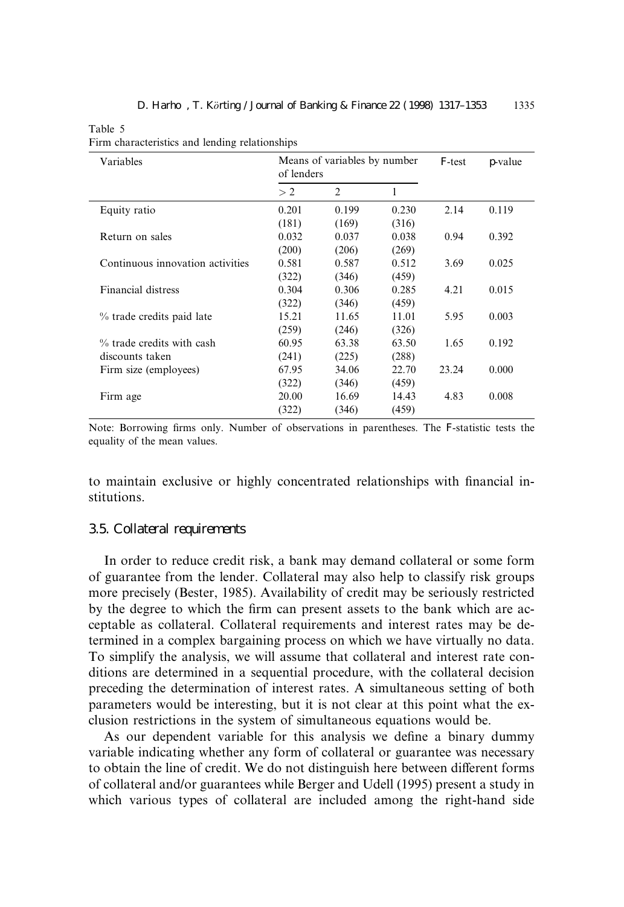Table 5

| Firm characteristics and lending relationships |  |
|------------------------------------------------|--|
|                                                |  |

| Variables                        | of lenders | Means of variables by number |       | F-test | p-value |
|----------------------------------|------------|------------------------------|-------|--------|---------|
|                                  | > 2        | 2                            | 1     |        |         |
| Equity ratio                     | 0.201      | 0.199                        | 0.230 | 2.14   | 0.119   |
|                                  | (181)      | (169)                        | (316) |        |         |
| Return on sales                  | 0.032      | 0.037                        | 0.038 | 0.94   | 0.392   |
|                                  | (200)      | (206)                        | (269) |        |         |
| Continuous innovation activities | 0.581      | 0.587                        | 0.512 | 3.69   | 0.025   |
|                                  | (322)      | (346)                        | (459) |        |         |
| Financial distress               | 0.304      | 0.306                        | 0.285 | 4.21   | 0.015   |
|                                  | (322)      | (346)                        | (459) |        |         |
| % trade credits paid late        | 15.21      | 11.65                        | 11.01 | 5.95   | 0.003   |
|                                  | (259)      | (246)                        | (326) |        |         |
| % trade credits with cash        | 60.95      | 63.38                        | 63.50 | 1.65   | 0.192   |
| discounts taken                  | (241)      | (225)                        | (288) |        |         |
| Firm size (employees)            | 67.95      | 34.06                        | 22.70 | 23.24  | 0.000   |
|                                  | (322)      | (346)                        | (459) |        |         |
| Firm age                         | 20.00      | 16.69                        | 14.43 | 4.83   | 0.008   |
|                                  | (322)      | (346)                        | (459) |        |         |
|                                  |            |                              |       |        |         |

Note: Borrowing firms only. Number of observations in parentheses. The F-statistic tests the equality of the mean values.

to maintain exclusive or highly concentrated relationships with financial institutions.

#### 3.5. Collateral requirements

In order to reduce credit risk, a bank may demand collateral or some form of guarantee from the lender. Collateral may also help to classify risk groups more precisely (Bester, 1985). Availability of credit may be seriously restricted by the degree to which the firm can present assets to the bank which are acceptable as collateral. Collateral requirements and interest rates may be determined in a complex bargaining process on which we have virtually no data. To simplify the analysis, we will assume that collateral and interest rate conditions are determined in a sequential procedure, with the collateral decision preceding the determination of interest rates. A simultaneous setting of both parameters would be interesting, but it is not clear at this point what the exclusion restrictions in the system of simultaneous equations would be.

As our dependent variable for this analysis we define a binary dummy variable indicating whether any form of collateral or guarantee was necessary to obtain the line of credit. We do not distinguish here between different forms of collateral and/or guarantees while Berger and Udell (1995) present a study in which various types of collateral are included among the right-hand side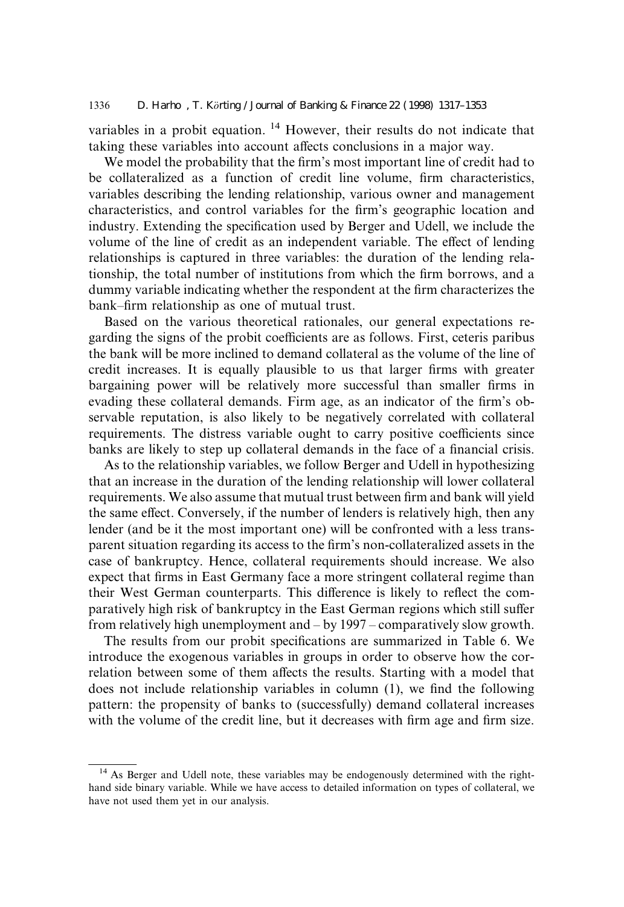variables in a probit equation. <sup>14</sup> However, their results do not indicate that taking these variables into account affects conclusions in a major way.

We model the probability that the firm's most important line of credit had to be collateralized as a function of credit line volume, firm characteristics, variables describing the lending relationship, various owner and management characteristics, and control variables for the firm's geographic location and industry. Extending the specification used by Berger and Udell, we include the volume of the line of credit as an independent variable. The effect of lending relationships is captured in three variables: the duration of the lending relationship, the total number of institutions from which the firm borrows, and a dummy variable indicating whether the respondent at the firm characterizes the bank–firm relationship as one of mutual trust.

Based on the various theoretical rationales, our general expectations regarding the signs of the probit coefficients are as follows. First, ceteris paribus the bank will be more inclined to demand collateral as the volume of the line of credit increases. It is equally plausible to us that larger firms with greater bargaining power will be relatively more successful than smaller firms in evading these collateral demands. Firm age, as an indicator of the firm's observable reputation, is also likely to be negatively correlated with collateral requirements. The distress variable ought to carry positive coefficients since banks are likely to step up collateral demands in the face of a financial crisis.

As to the relationship variables, we follow Berger and Udell in hypothesizing that an increase in the duration of the lending relationship will lower collateral requirements. We also assume that mutual trust between firm and bank will yield the same effect. Conversely, if the number of lenders is relatively high, then any lender (and be it the most important one) will be confronted with a less transparent situation regarding its access to the firm's non-collateralized assets in the case of bankruptcy. Hence, collateral requirements should increase. We also expect that firms in East Germany face a more stringent collateral regime than their West German counterparts. This difference is likely to reflect the comparatively high risk of bankruptcy in the East German regions which still suffer from relatively high unemployment and  $-$  by 1997  $-$  comparatively slow growth.

The results from our probit specifications are summarized in Table 6. We introduce the exogenous variables in groups in order to observe how the correlation between some of them affects the results. Starting with a model that does not include relationship variables in column  $(1)$ , we find the following pattern: the propensity of banks to (successfully) demand collateral increases with the volume of the credit line, but it decreases with firm age and firm size.

<sup>&</sup>lt;sup>14</sup> As Berger and Udell note, these variables may be endogenously determined with the righthand side binary variable. While we have access to detailed information on types of collateral, we have not used them yet in our analysis.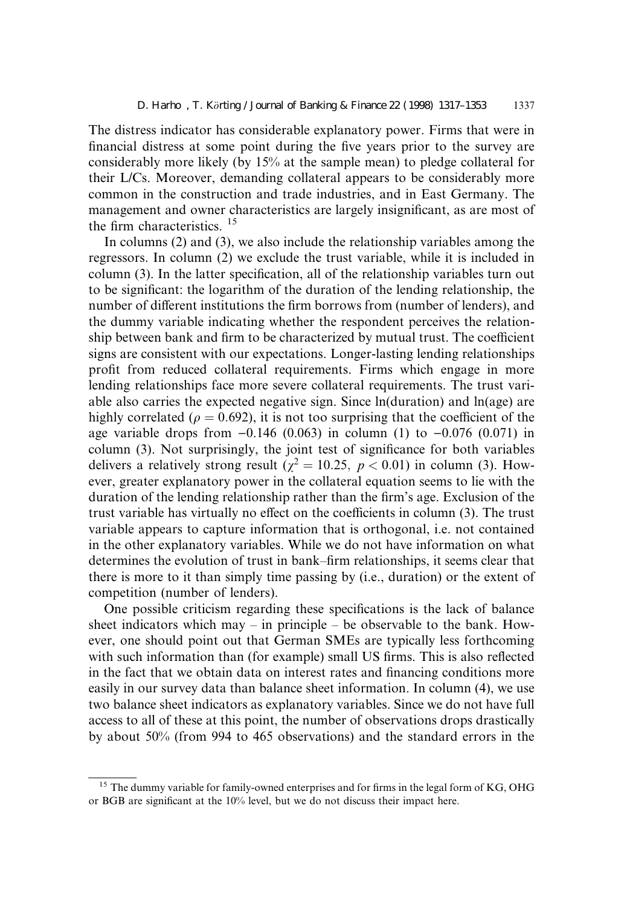The distress indicator has considerable explanatory power. Firms that were in financial distress at some point during the five years prior to the survey are considerably more likely (by 15% at the sample mean) to pledge collateral for their L/Cs. Moreover, demanding collateral appears to be considerably more common in the construction and trade industries, and in East Germany. The management and owner characteristics are largely insignificant, as are most of the firm characteristics.  $15$ 

In columns (2) and (3), we also include the relationship variables among the regressors. In column (2) we exclude the trust variable, while it is included in column  $(3)$ . In the latter specification, all of the relationship variables turn out to be significant: the logarithm of the duration of the lending relationship, the number of different institutions the firm borrows from (number of lenders), and the dummy variable indicating whether the respondent perceives the relationship between bank and firm to be characterized by mutual trust. The coefficient signs are consistent with our expectations. Longer-lasting lending relationships profit from reduced collateral requirements. Firms which engage in more lending relationships face more severe collateral requirements. The trust variable also carries the expected negative sign. Since ln(duration) and ln(age) are highly correlated ( $\rho = 0.692$ ), it is not too surprising that the coefficient of the age variable drops from  $-0.146$  (0.063) in column (1) to  $-0.076$  (0.071) in column  $(3)$ . Not surprisingly, the joint test of significance for both variables delivers a relatively strong result ( $\chi^2 = 10.25$ ,  $p < 0.01$ ) in column (3). However, greater explanatory power in the collateral equation seems to lie with the duration of the lending relationship rather than the firm's age. Exclusion of the trust variable has virtually no effect on the coefficients in column (3). The trust variable appears to capture information that is orthogonal, i.e. not contained in the other explanatory variables. While we do not have information on what determines the evolution of trust in bank–firm relationships, it seems clear that there is more to it than simply time passing by (i.e., duration) or the extent of competition (number of lenders).

One possible criticism regarding these specifications is the lack of balance sheet indicators which may  $-\text{ in principle} - \text{be observable}$  to the bank. However, one should point out that German SMEs are typically less forthcoming with such information than (for example) small US firms. This is also reflected in the fact that we obtain data on interest rates and financing conditions more easily in our survey data than balance sheet information. In column (4), we use two balance sheet indicators as explanatory variables. Since we do not have full access to all of these at this point, the number of observations drops drastically by about 50% (from 994 to 465 observations) and the standard errors in the

 $15$  The dummy variable for family-owned enterprises and for firms in the legal form of KG, OHG or BGB are significant at the  $10\%$  level, but we do not discuss their impact here.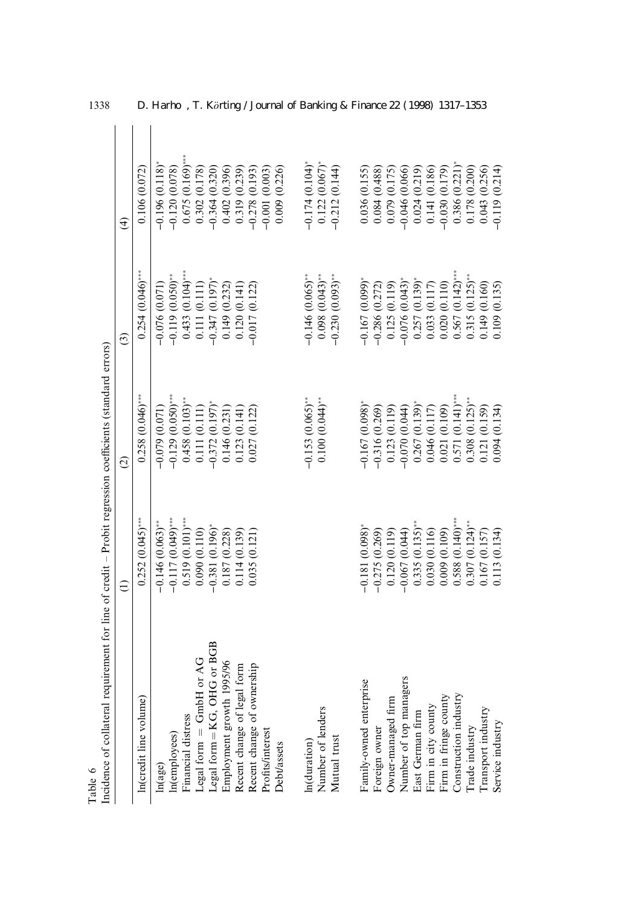| Incidence of collateral requirement for line of credit - Probit regression coefficients (standard errors)<br>Table 6 |                     |                     |                               |                    |
|----------------------------------------------------------------------------------------------------------------------|---------------------|---------------------|-------------------------------|--------------------|
|                                                                                                                      | €                   | $\widehat{c}$       | $\widehat{c}$                 | $\widehat{d}$      |
| In(credit line volume)                                                                                               | $0.252(0.045)$ ***  | $0.258(0.046)$ ***  | $0.254(0.046)$ ***            | 0.106 (0.072)      |
| ln(age)                                                                                                              | $-0.146(0.063)$     | $-0.079(0.071)$     | $-0.076(0.071)$               | $-0.196(0.118)$    |
| In(employees)                                                                                                        | $-0.117(0.049)$ *** | $-0.129(0.050)$ *** | $-0.119(0.050)$ <sup>**</sup> | $-0.120(0.078)$    |
| Financial distress                                                                                                   | $0.519(0.101)$ ***  | $0.458(0.103)$ **   | $0.433(0.104)$ ***            | $0.675(0.169)$ *** |
| Legal form = GmbH or AG                                                                                              | 0.090(0.110)        | 0.111 (0.111)       | 0.111(0.111)                  | 0.302(0.178)       |
| Legal form = KG, OHG or BGB                                                                                          | $-0.381(0.196)$     | $-0.372(0.197)$ *   | $-0.347(0.197)$ *             | $-0.364(0.320)$    |
| Employment growth 1995/96                                                                                            | 0.187 (0.228)       | 0.146(0.231)        | 0.149(0.232)                  | 0.402(0.396)       |
| Recent change of legal form                                                                                          | 0.114 (0.139)       | 0.123(0.141)        | 0.120(0.141)                  | 0.319(0.239)       |
| Recent change of ownership                                                                                           | 0.035(0.121)        | 0.027 (0.122)       | $-0.017(0.122)$               | $-0.278(0.193)$    |
| Profits/interest                                                                                                     |                     |                     |                               | $-0.001(0.003)$    |
| Debt/assets                                                                                                          |                     |                     |                               | 0.009(0.226)       |
| In(duration)                                                                                                         |                     | $-0.153(0.065)$ **  | $-0.146(0.065)$ **            | $-0.174(0.104)$    |
| Number of lenders                                                                                                    |                     | $0.100(0.044)$ **   | $(6.00.008)(0.043)$ **        | $0.122(0.067)$ *   |
| Mutual trust                                                                                                         |                     |                     | $-0.230(0.093)$ **            | $-0.212(0.144)$    |
| Family-owned enterprise                                                                                              | $-0.181(0.098)$     | $-0.167(0.098)$     | $-0.167(0.099)$               | 0.036(0.155)       |
| Foreign owner                                                                                                        | $-0.275(0.269)$     | $-0.316(0.269)$     | $-0.286(0.272)$               | 0.084(0.488)       |
| Owner-managed firm                                                                                                   | 0.120(0.119)        | 0.123(0.119)        | 0.125(0.119)                  | 0.079(0.175)       |
| Number of top managers                                                                                               | $-0.067(0.044)$     | $-0.070(0.044)$     | $-0.076(0.043)$               | $-0.046(0.066)$    |
| Bast German firm                                                                                                     | $0.335(0.135)$ *    | $0.267(0.139)$ *    | $0.257(0.139)^*$              | 0.024(0.219)       |
| Firm in city county                                                                                                  | 0.030 (0.116)       | 0.046(0.117)        | 0.033(0.117)                  | 0.141 (0.186)      |
| Firm in fringe county                                                                                                | 0.009(0.109)        | 0.021(0.109)        | 0.020(0.110)                  | $-0.030(0.179)$    |
| Construction industry                                                                                                | $0.588(0.140)$ ***  | $0.571(0.141)$ ***  | $0.567(0.142)$ ***            | 0.386(0.221)       |
| Trade industry                                                                                                       | $0.307(0.124)$ **   | $0.308(0.125)$ **   | $0.315(0.125)$ <sup>**</sup>  | 0.178 (0.200)      |
| Transport industry                                                                                                   | 0.167(0.157)        | 0.121 (0.159)       | 149 (0.160)                   | 0.043(0.256)       |
| Service industry                                                                                                     | 0.113 (0.134)       | 0.094(0.134)        | 0.109 (0.135)                 | $-0.119(0.214)$    |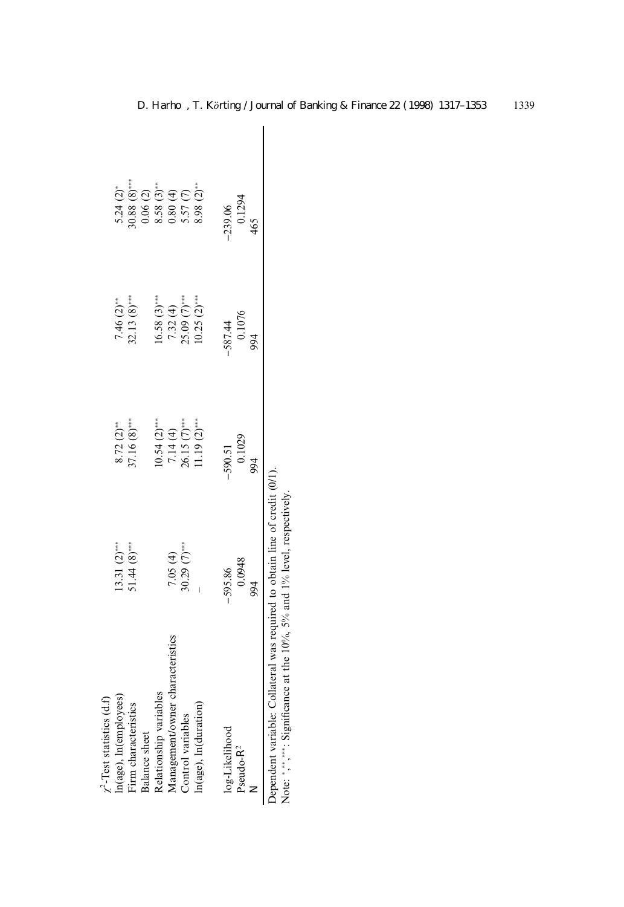| $\mathcal{L}$ -Test statistics (d.f)                                       |                |                                             |                         |                                                 |  |
|----------------------------------------------------------------------------|----------------|---------------------------------------------|-------------------------|-------------------------------------------------|--|
| n(age), ln(employees)                                                      | $13.31(2)$ *** |                                             | $7.46(2)$ **            | $5.24(2)$ <sup>*</sup>                          |  |
| irm characteristics                                                        | $51.44(8)$ *** | $8.72$ (2) <sup>**</sup><br>37.16 $(8)$ *** | $82.13(8)$ ***          | $0.88(8)$ ***                                   |  |
| <b>Balance</b> sheet                                                       |                |                                             |                         |                                                 |  |
| Relationship variables                                                     |                | $10.54(2)$ ***                              | $16.58 \text{ (3)}$ *** | $0.06(2)$<br>8.58 (3)**<br>0.80 (4)<br>5.57 (7) |  |
| fanagement/owner characteristics                                           | 7.05(4)        |                                             | 7.32(4)                 |                                                 |  |
| Control variables                                                          | $30.29(7)$ *** | $7.14(4)$<br>26.15 $(7)$ ***                | $25.09$ $(7)***$        |                                                 |  |
| $ln(age)$ , $ln(duration)$                                                 |                | $1.19(2)$ ***                               | $10.25$ $(2)***$        | $8.98(2)$ **                                    |  |
|                                                                            |                |                                             |                         |                                                 |  |
| log-Likelihood                                                             | $-595.86$      | $-590.51$                                   | $-587.44$               | $-239.06$                                       |  |
| Pseudo-R <sup>2</sup>                                                      | 0.0948         | 0.1029                                      | 0.1076                  | 0.1294                                          |  |
|                                                                            | 994            | 994                                         | 50 <sub>6</sub>         | 465                                             |  |
| Dependent variable: Collateral was required to obtain line of credit (0/1) |                |                                             |                         |                                                 |  |

| '<br>י                                           |                                                                             |                                                                      |
|--------------------------------------------------|-----------------------------------------------------------------------------|----------------------------------------------------------------------|
| ׅ֪֪ׅ֪ׅ֚֚֚֚֚֚֚֚֚֚֚֚֚֚֚֚֚֚֚֚֚֚֚֚֚֚֚֚֚֚֡֝֟֜֡֝֟֜֝֬֓֡ | Dependent variable: Collateral was required to obtain line of credit (0/1). | Note: *,***:: Significance at the 10%, 5% and 1% level, respectively |
|                                                  |                                                                             |                                                                      |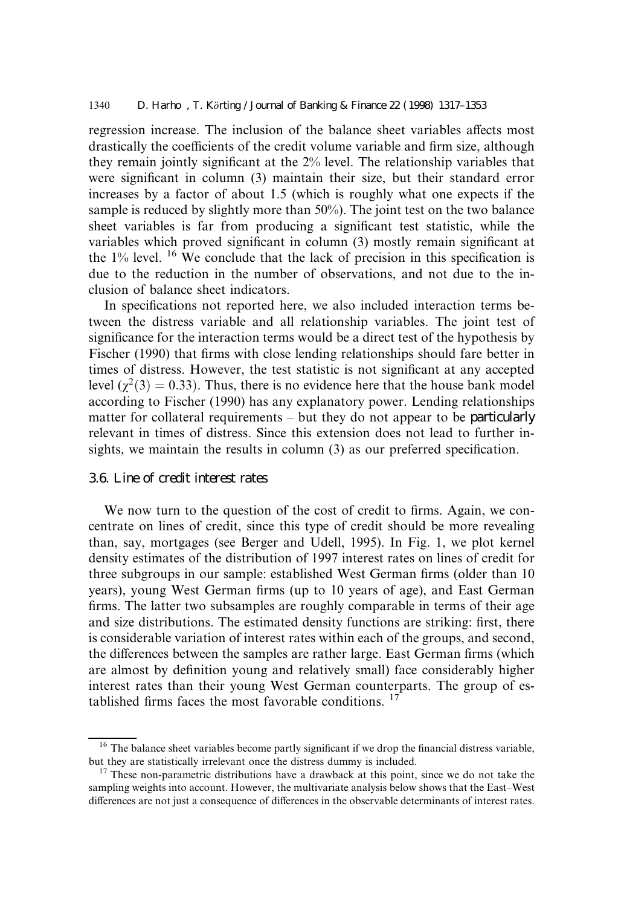#### 1340 D. Harho, T. Korting / Journal of Banking & Finance 22 (1998) 1317–1353

regression increase. The inclusion of the balance sheet variables affects most drastically the coefficients of the credit volume variable and firm size, although they remain jointly significant at the  $2\%$  level. The relationship variables that were significant in column (3) maintain their size, but their standard error increases by a factor of about 1.5 (which is roughly what one expects if the sample is reduced by slightly more than 50%). The joint test on the two balance sheet variables is far from producing a significant test statistic, while the variables which proved significant in column  $(3)$  mostly remain significant at the  $1\%$  level. <sup>16</sup> We conclude that the lack of precision in this specification is due to the reduction in the number of observations, and not due to the inclusion of balance sheet indicators.

In specifications not reported here, we also included interaction terms between the distress variable and all relationship variables. The joint test of significance for the interaction terms would be a direct test of the hypothesis by Fischer (1990) that firms with close lending relationships should fare better in times of distress. However, the test statistic is not significant at any accepted level ( $\chi^2(3) = 0.33$ ). Thus, there is no evidence here that the house bank model according to Fischer (1990) has any explanatory power. Lending relationships matter for collateral requirements  $-\text{ but they do not appear to be particularly}$ relevant in times of distress. Since this extension does not lead to further insights, we maintain the results in column  $(3)$  as our preferred specification.

#### 3.6. Line of credit interest rates

We now turn to the question of the cost of credit to firms. Again, we concentrate on lines of credit, since this type of credit should be more revealing than, say, mortgages (see Berger and Udell, 1995). In Fig. 1, we plot kernel density estimates of the distribution of 1997 interest rates on lines of credit for three subgroups in our sample: established West German firms (older than 10) years), young West German firms (up to 10 years of age), and East German firms. The latter two subsamples are roughly comparable in terms of their age and size distributions. The estimated density functions are striking: first, there is considerable variation of interest rates within each of the groups, and second, the differences between the samples are rather large. East German firms (which are almost by definition young and relatively small) face considerably higher interest rates than their young West German counterparts. The group of established firms faces the most favorable conditions.  $17$ 

<sup>&</sup>lt;sup>16</sup> The balance sheet variables become partly significant if we drop the financial distress variable, but they are statistically irrelevant once the distress dummy is included.

 $17$  These non-parametric distributions have a drawback at this point, since we do not take the sampling weights into account. However, the multivariate analysis below shows that the East-West differences are not just a consequence of differences in the observable determinants of interest rates.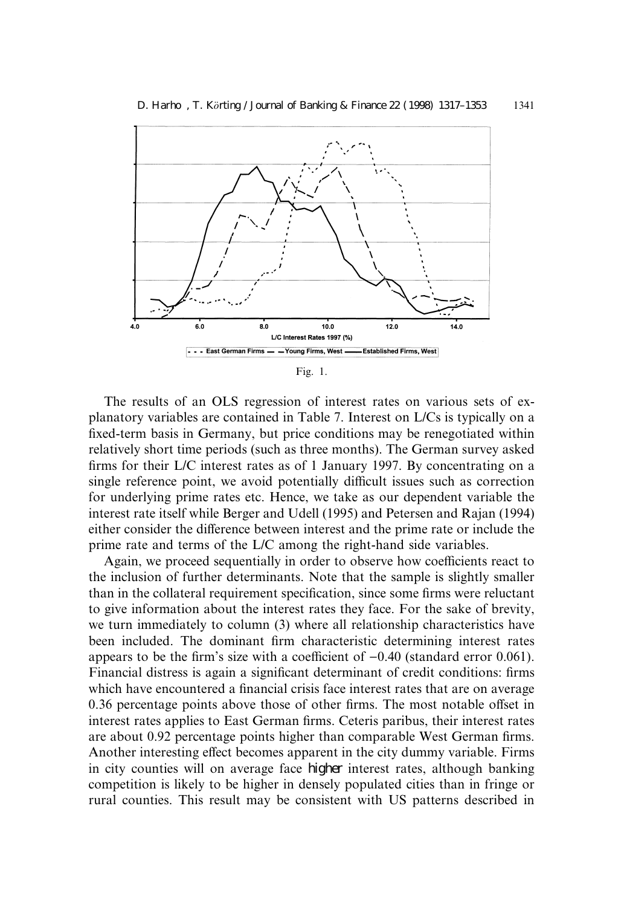

Fig. 1.

The results of an OLS regression of interest rates on various sets of explanatory variables are contained in Table 7. Interest on L/Cs is typically on a fixed-term basis in Germany, but price conditions may be renegotiated within relatively short time periods (such as three months). The German survey asked firms for their L/C interest rates as of 1 January 1997. By concentrating on a single reference point, we avoid potentially difficult issues such as correction for underlying prime rates etc. Hence, we take as our dependent variable the interest rate itself while Berger and Udell (1995) and Petersen and Rajan (1994) either consider the difference between interest and the prime rate or include the prime rate and terms of the L/C among the right-hand side variables.

Again, we proceed sequentially in order to observe how coefficients react to the inclusion of further determinants. Note that the sample is slightly smaller than in the collateral requirement specification, since some firms were reluctant to give information about the interest rates they face. For the sake of brevity, we turn immediately to column (3) where all relationship characteristics have been included. The dominant firm characteristic determining interest rates appears to be the firm's size with a coefficient of  $-0.40$  (standard error 0.061). Financial distress is again a significant determinant of credit conditions: firms which have encountered a financial crisis face interest rates that are on average 0.36 percentage points above those of other firms. The most notable offset in interest rates applies to East German firms. Ceteris paribus, their interest rates are about 0.92 percentage points higher than comparable West German firms. Another interesting effect becomes apparent in the city dummy variable. Firms in city counties will on average face higher interest rates, although banking competition is likely to be higher in densely populated cities than in fringe or rural counties. This result may be consistent with US patterns described in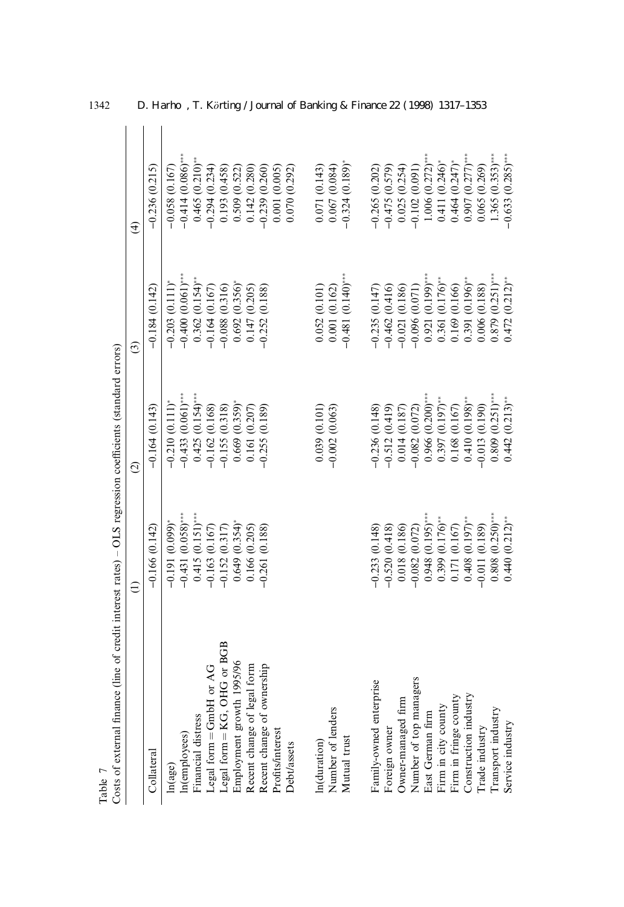| Costs of external finance (line of credit interest rates) $-$ OLS regression coefficients (standard errors)<br>Table 7 |                                                                    |                     |                                            |                     |
|------------------------------------------------------------------------------------------------------------------------|--------------------------------------------------------------------|---------------------|--------------------------------------------|---------------------|
|                                                                                                                        | $\widehat{z}$                                                      | $\widehat{c}$       | ම                                          | $\widehat{d}$       |
| Collateral                                                                                                             | $-0.166(0.142)$                                                    | $-0.164(0.143)$     | $-0.184(0.142)$                            | $-0.236(0.215)$     |
| ln(age)                                                                                                                | $-0.191(0.099)$                                                    | $-0.210(0.111)^*$   |                                            | $-0.058(0.167)$     |
| In(employees)                                                                                                          | $-0.431(0.058)$ ***                                                | $-0.433(0.061)$ *** | $-0.203(0.111)^*$<br>$-0.400(0.061)^{***}$ | $-0.414(0.086)$ *** |
| Financial distress                                                                                                     | $0.415(0.151)$ ***                                                 | $0.425(0.154)$ ***  | $0.362(0.154)$ **                          | $0.465(0.210)$ **   |
| Legal form = GmbH or AG                                                                                                | $-0.163(0.167)$                                                    | $-0.162(0.168)$     | $-0.164(0.167)$                            | $-0.294(0.234)$     |
| Legal form = KG, OHG or BGB                                                                                            | $-0.152(0.317)$                                                    | $-0.155(0.318)$     | $-0.088(0.316)$                            | 0.193(0.458)        |
| Employment growth 1995/96                                                                                              | $0.649(0.354)$ *                                                   | $0.669(0.359)$ *    | $0.692(0.356)$ *                           | 0.509(0.522)        |
| Recent change of legal form                                                                                            | 0.166(0.205)                                                       | 0.161(0.207)        | 0.147 (0.205)                              | 0.142(0.280)        |
| Recent change of ownership                                                                                             | $-0.261(0.188)$                                                    | $-0.255(0.189)$     | $-0.252(0.188)$                            | $-0.239(0.260)$     |
| Profits/interest                                                                                                       |                                                                    |                     |                                            | 0.001(0.005)        |
| Debt/assets                                                                                                            |                                                                    |                     |                                            | 0.070(0.292)        |
| n(duration)                                                                                                            |                                                                    | 0.039(0.101)        | 0.052(0.101)                               | 0.071(0.143)        |
| Number of lenders                                                                                                      |                                                                    | $-0.002(0.063)$     | 0.001(0.162)                               | 0.067(0.084)        |
| Mutual trust                                                                                                           |                                                                    |                     | $-0.481(0.140)$ ***                        | $-0.324(0.189)$ *   |
| Family-owned enterprise                                                                                                | $-0.233(0.148)$                                                    | $-0.236(0.148)$     | $-0.235(0.147)$                            | $-0.265(0.202)$     |
| Foreign owner                                                                                                          | $-0.520(0.418)$                                                    | $-0.512(0.419)$     | $-0.462(0.416)$                            | $-0.475(0.579)$     |
| Owner-managed firm                                                                                                     |                                                                    | 0.014(0.187)        | $-0.021(0.186)$                            | 0.025(0.254)        |
| Number of top managers                                                                                                 | $\begin{array}{c} 0.018 \ (0.186) \\ -0.082 \ (0.072) \end{array}$ | $-0.082(0.072)$     | $-0.096(0.071)$                            | $-0.102(0.091)$     |
| East German firm                                                                                                       | $0.948(0.195)$ ***                                                 | $0.966(0.200)$ ***  | $0.921(0.199)$ ***                         | $1.006(0.272)$ ***  |
| Firm in city county                                                                                                    | $0.399(0.176)$ **                                                  | $0.397(0.197)$ **   | $0.361(0.176)$ **                          | 0.411(0.246)        |
| Firm in fringe county                                                                                                  | 0.171 (0.167)                                                      | 0.168(0.167)        | 0.169 (0.166)                              | $0.464(0.247)$ *    |
| Construction industry                                                                                                  | $0.408(0.197)$ **                                                  | $0.410(0.198)$ **   | $0.391(0.196)$ **                          | $0.907(0.277)$ ***  |
| Trade industry                                                                                                         | $-0.011(0.189)$                                                    | $-0.013(0.190)$     | 0.006 (0.188)                              | 0.065(0.269)        |
| Transport industry                                                                                                     | $0.808(0.250)$ ***                                                 | $0.809(0.251)***$   | $0.879(0.251)$ ***                         | $1.365(0.353)$ ***  |
| Service industry                                                                                                       | $0.440(0.212)$ **                                                  | $0.442(0.213)$ **   | $0.472(0.212)$ **                          | $-0.633(0.285)$ *** |

1342 D. Harho, T. Körting / Journal of Banking & Finance 22 (1998) 1317-1353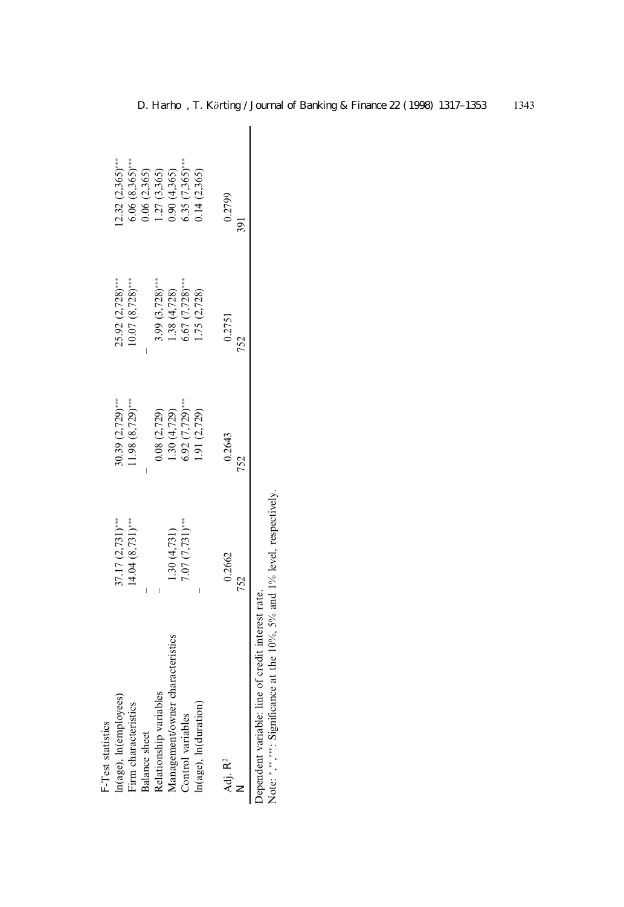| F-Test statistics                |                                     |                      |                                        |                                                   |  |
|----------------------------------|-------------------------------------|----------------------|----------------------------------------|---------------------------------------------------|--|
| In(age), In(employees)           | $37.17(2,731)$ **                   | $(2,729)$ ***        |                                        | $2.32(2,365)$ ***                                 |  |
| Firm characteristics             | $(4.04 (8, 731)$ **                 | $(1.98\ (8.729)$ *** | $25.92$ (2,728)***<br>10.07 (8,728)*** | $6.06(8,365)$ ***                                 |  |
| Balance sheet                    |                                     |                      |                                        | 0.06(2,365)                                       |  |
| Relationship variables           |                                     | 0.8 (2,729)          | $3.99(3,728)$ ***                      | .27(3,365)                                        |  |
| Management/owner characteristics |                                     | .30(4,729)           | .38(4,728)                             |                                                   |  |
| Control variables                | $1.30(4,731)$<br>7.07 $(7,731)$ *** | $5.92(7,729)$ ***    | $5.67(7,728)$ ***                      | $0.90$ (4,365)<br>6.35 (7,365)***<br>0.14 (2,365) |  |
| In(age), In(duration)            |                                     | 1.91(2,729)          | .75 (2,728)                            |                                                   |  |
| Adj. R <sup>2</sup><br>z         | 0.2662<br>752                       | 0.2643               | 0.2751                                 | 0.2799                                            |  |
|                                  |                                     |                      |                                        |                                                   |  |

Note:  $\gamma$ ,  $\gamma$ , Significance at the 10%, 5% and 1% level, respectively. Dependent variable: line of credit interest rate.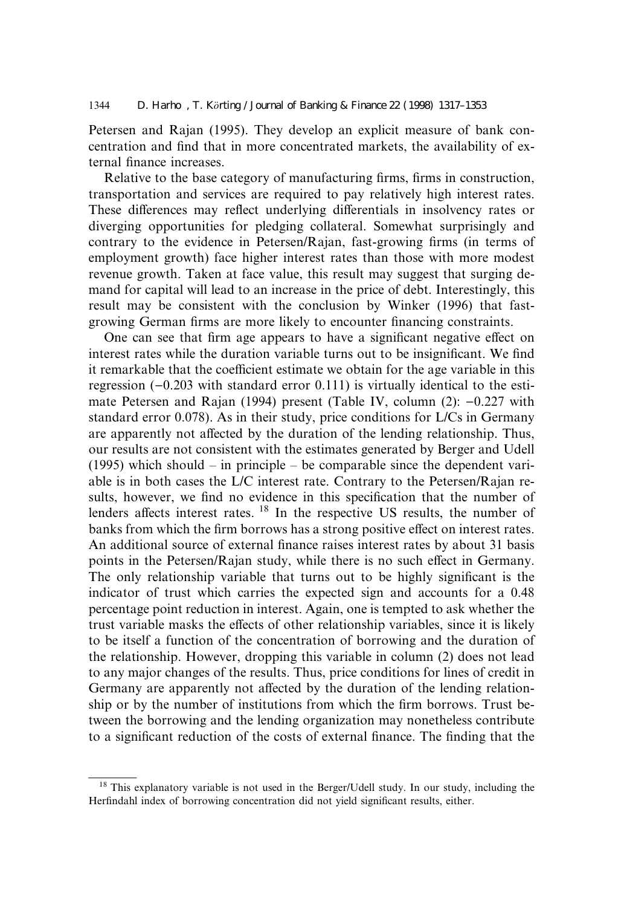Petersen and Rajan (1995). They develop an explicit measure of bank concentration and find that in more concentrated markets, the availability of external finance increases.

Relative to the base category of manufacturing firms, firms in construction, transportation and services are required to pay relatively high interest rates. These differences may reflect underlying differentials in insolvency rates or diverging opportunities for pledging collateral. Somewhat surprisingly and contrary to the evidence in Petersen/Rajan, fast-growing firms (in terms of employment growth) face higher interest rates than those with more modest revenue growth. Taken at face value, this result may suggest that surging demand for capital will lead to an increase in the price of debt. Interestingly, this result may be consistent with the conclusion by Winker (1996) that fastgrowing German firms are more likely to encounter financing constraints.

One can see that firm age appears to have a significant negative effect on interest rates while the duration variable turns out to be insignificant. We find it remarkable that the coefficient estimate we obtain for the age variable in this regression  $(-0.203$  with standard error 0.111) is virtually identical to the estimate Petersen and Rajan (1994) present (Table IV, column (2):  $-0.227$  with standard error 0.078). As in their study, price conditions for L/Cs in Germany are apparently not affected by the duration of the lending relationship. Thus, our results are not consistent with the estimates generated by Berger and Udell (1995) which should  $-\text{ in principle} - \text{ be comparable since the dependent vari-}$ able is in both cases the L/C interest rate. Contrary to the Petersen/Rajan results, however, we find no evidence in this specification that the number of lenders affects interest rates. <sup>18</sup> In the respective US results, the number of banks from which the firm borrows has a strong positive effect on interest rates. An additional source of external finance raises interest rates by about 31 basis points in the Petersen/Rajan study, while there is no such effect in Germany. The only relationship variable that turns out to be highly significant is the indicator of trust which carries the expected sign and accounts for a 0.48 percentage point reduction in interest. Again, one is tempted to ask whether the trust variable masks the effects of other relationship variables, since it is likely to be itself a function of the concentration of borrowing and the duration of the relationship. However, dropping this variable in column (2) does not lead to any major changes of the results. Thus, price conditions for lines of credit in Germany are apparently not affected by the duration of the lending relationship or by the number of institutions from which the firm borrows. Trust between the borrowing and the lending organization may nonetheless contribute to a significant reduction of the costs of external finance. The finding that the

<sup>&</sup>lt;sup>18</sup> This explanatory variable is not used in the Berger/Udell study. In our study, including the Herfindahl index of borrowing concentration did not yield significant results, either.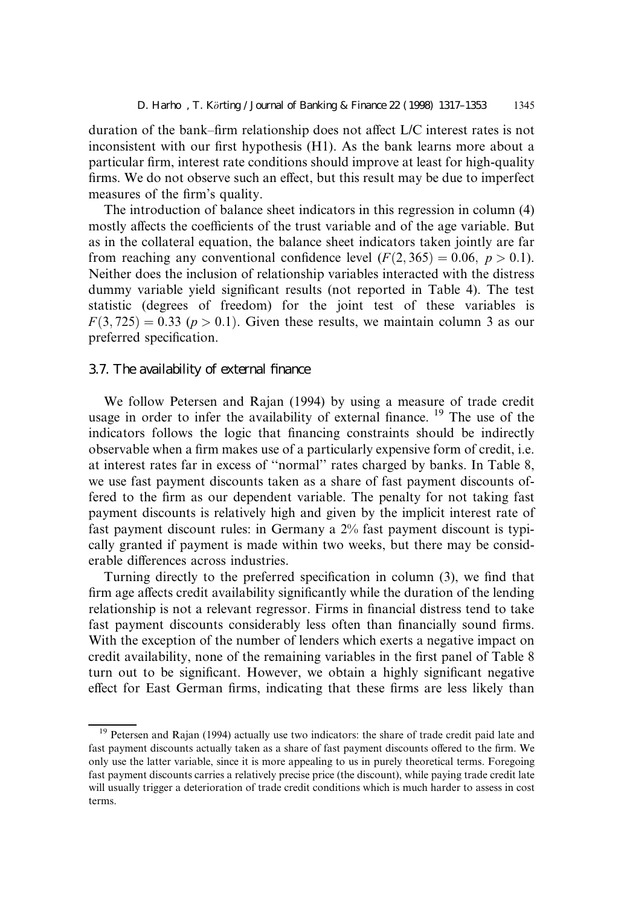duration of the bank–firm relationship does not affect L/C interest rates is not inconsistent with our first hypothesis  $(H1)$ . As the bank learns more about a particular firm, interest rate conditions should improve at least for high-quality firms. We do not observe such an effect, but this result may be due to imperfect measures of the firm's quality.

The introduction of balance sheet indicators in this regression in column (4) mostly affects the coefficients of the trust variable and of the age variable. But as in the collateral equation, the balance sheet indicators taken jointly are far from reaching any conventional confidence level  $(F(2, 365) = 0.06, p > 0.1)$ . Neither does the inclusion of relationship variables interacted with the distress dummy variable yield significant results (not reported in Table 4). The test statistic (degrees of freedom) for the joint test of these variables is  $F(3, 725) = 0.33$  ( $p > 0.1$ ). Given these results, we maintain column 3 as our preferred specification.

#### 3.7. The availability of external finance

We follow Petersen and Rajan (1994) by using a measure of trade credit usage in order to infer the availability of external finance.  $19$  The use of the indicators follows the logic that financing constraints should be indirectly observable when a firm makes use of a particularly expensive form of credit, i.e. at interest rates far in excess of "normal" rates charged by banks. In Table 8, we use fast payment discounts taken as a share of fast payment discounts offered to the firm as our dependent variable. The penalty for not taking fast payment discounts is relatively high and given by the implicit interest rate of fast payment discount rules: in Germany a 2% fast payment discount is typically granted if payment is made within two weeks, but there may be considerable differences across industries.

Turning directly to the preferred specification in column  $(3)$ , we find that firm age affects credit availability significantly while the duration of the lending relationship is not a relevant regressor. Firms in financial distress tend to take fast payment discounts considerably less often than financially sound firms. With the exception of the number of lenders which exerts a negative impact on credit availability, none of the remaining variables in the first panel of Table 8 turn out to be significant. However, we obtain a highly significant negative effect for East German firms, indicating that these firms are less likely than

<sup>&</sup>lt;sup>19</sup> Petersen and Rajan (1994) actually use two indicators: the share of trade credit paid late and fast payment discounts actually taken as a share of fast payment discounts offered to the firm. We only use the latter variable, since it is more appealing to us in purely theoretical terms. Foregoing fast payment discounts carries a relatively precise price (the discount), while paying trade credit late will usually trigger a deterioration of trade credit conditions which is much harder to assess in cost terms.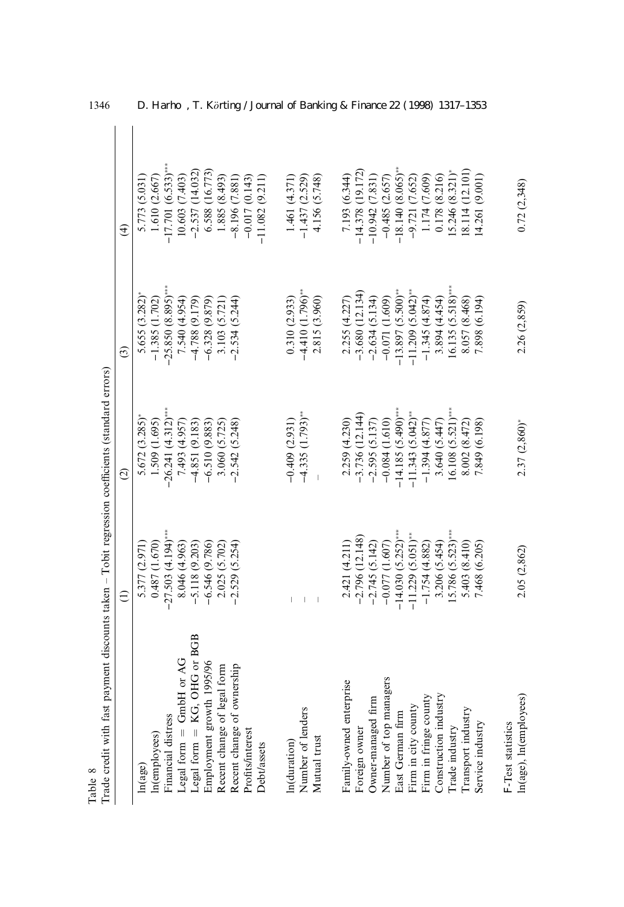| Trade credit with fast payment discounts taken - Tobit regression coefficients (standard errors)<br>Table 8 |                      |                                |                                 |                      |
|-------------------------------------------------------------------------------------------------------------|----------------------|--------------------------------|---------------------------------|----------------------|
|                                                                                                             | $\widehat{\Xi}$      | $\widehat{\circ}$              | $\widehat{c}$                   | $\widehat{t}$        |
| ln(age)                                                                                                     | 5.377 (2.971)        | 5.672 (3.285)                  | 5.655 (3.282)                   | 5.773 (5.031)        |
| In(employees)                                                                                               | 0.487(1.670)         | 1.509 (1.695)                  | $-1.385(1.702)$                 | 1.610(2.667)         |
| Financial distress                                                                                          | $-27.503(4.194)$ *** | $26.241(4.312)$ ***            | $-25.850(8.895)***$             | $-17.701(6.533)$ *** |
| Legal form $=$ GmbH or AG                                                                                   | 8.046 (4.963)        | 7.493 (4.957)                  | 7.540 (4.954)                   | 10.603 (7.403)       |
| Legal form = KG, OHG or BGB                                                                                 | $-5.118(9.203)$      | $-4.851(9.183)$                | $-4.788(9.179)$                 | $-2.537(14.032)$     |
| Employment growth 1995/96                                                                                   | $-6.546(9.786)$      | $-6.510(9.883)$                | $-6.328(9.879)$                 | 6.588 (16.773)       |
| Recent change of legal form                                                                                 | 2.025 (5.702)        | 3.060 (5.725)                  | 3.103 (5.721)                   | 1.885 (8.493)        |
| Recent change of ownership                                                                                  | $-2.529(5.254)$      | $-2.542(5.248)$                | $-2.534(5.244)$                 | $-8.196(7.881)$      |
| Profits/interest                                                                                            |                      |                                |                                 | $-0.017(0.143)$      |
| <b>Debt/assets</b>                                                                                          |                      |                                |                                 | $-11.082(9.211)$     |
| In(duration)                                                                                                |                      | $-0.409(2.931)$                | 0.310(2.933)                    | 1.461(4.371)         |
| Number of lenders                                                                                           |                      | $-4.335$ (1.793) <sup>**</sup> | $-4.410(1.796)$ **              | $-1.437(2.529)$      |
| Mutual trust                                                                                                |                      |                                | 2.815 (3.960)                   | 4.156 (5.748)        |
| Family-owned enterprise                                                                                     | 2.421 (4.211)        | 2.259 (4.230)                  | 2.255 (4.227)                   | 7.193 (6.344)        |
| Foreign owner                                                                                               | $-2.796(12.148)$     | $-3.736(12.144)$               | $-3.680(12.134)$                | $-14.378(19.172)$    |
| Owner-managed firm                                                                                          | $-2.745(5.142)$      | $-2.595(5.137)$                | $-2.634(5.134)$                 | $-10.942(7.831)$     |
| Number of top managers                                                                                      | $-0.077$ (1.607)     | $-0.084(1.610)$                | $-0.071(1.609)$                 | $-0.485(2.657)$      |
| East German firm                                                                                            | $-14.030(5.252)$ *** | $-14.185(5.490)$ ***           | $-13.897(5.500)$ **             | $-18.140(8.065)$ **  |
| Firm in city county                                                                                         | $-11.229(5.051)$ **  | $-11.343(5.042)$ **            | $-11.209$ (5.042) <sup>**</sup> | $-9.721(7.652)$      |
| Firm in fringe county                                                                                       | $-1.754(4.882)$      | $-1.394(4.877)$                | $-1.345(4.874)$                 | 1.174 (7.609)        |
| Construction industry                                                                                       | 3.206 (5.454)        | 3.640(5.447)                   | 3.894 (4.454)                   | 0.178 (8.216)        |
| Trade industry                                                                                              | $.5.786(5.523)***$   | $16.108(5.521)$ ***            | $16.135(5.518)***$              | $15.246(8.321)^*$    |
| Transport industry                                                                                          | 5.403 (8.410)        | 8.002(8.472)                   | 8.057 (8.468)                   | 8.114 (12.101)       |
| Service industry                                                                                            | 7.468 (6.205)        | 7.849 (6.198)                  | 7.898 (6.194)                   | 4.261 (9.001)        |
| F-Test statistics                                                                                           |                      |                                |                                 |                      |
| ln(age), ln(employees)                                                                                      | 2.05 (2,862)         | $2.37(2.860)^*$                | 2.26 (2,859)                    | 0.72(2,348)          |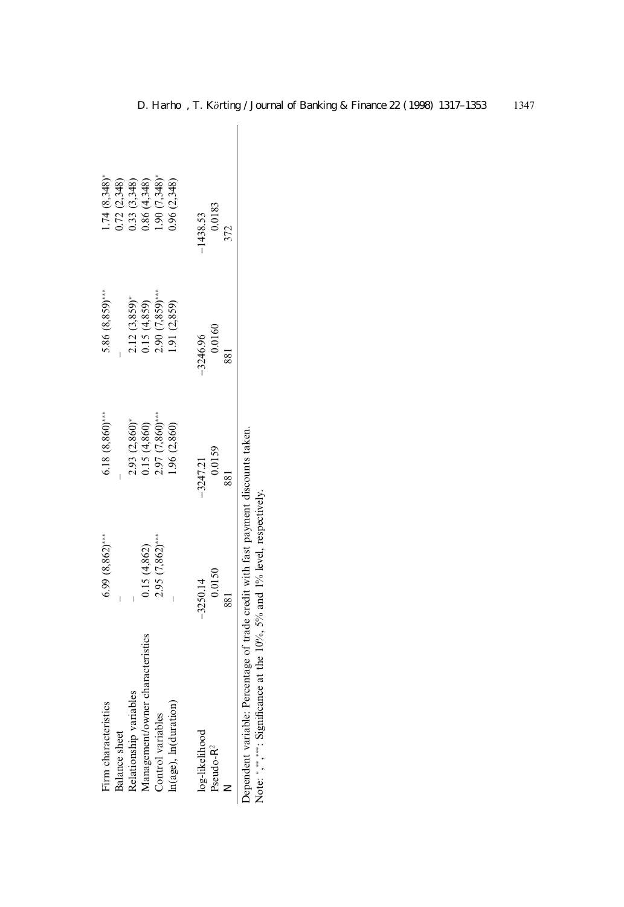| Firm characteristics                                                                                                                                                                                                           | $6.99(8,862)$ *** | $6.18(8,860)$ *** | $5.86(8,859)$ *** | $1.74(8,348)$ * |  |
|--------------------------------------------------------------------------------------------------------------------------------------------------------------------------------------------------------------------------------|-------------------|-------------------|-------------------|-----------------|--|
| Balance sheet                                                                                                                                                                                                                  |                   |                   |                   | 0.72(2.348)     |  |
| Relationship variables                                                                                                                                                                                                         |                   | 2.93 (2,860)*     | $2.12(3,859)^*$   | 0.33 (3,348)    |  |
| Management/owner characteristics                                                                                                                                                                                               | 0.15(4.862)       | 15 (4,860)        | 0.15(4.859)       | 0.86(4,348)     |  |
| Control variables                                                                                                                                                                                                              | $2.95(7,862)$ *** | $2.97(7,860)$ *** | $2.90(7,859)$ *** | .90(7,348)      |  |
| In(age), In(duration)                                                                                                                                                                                                          |                   | .96 (2,860)       | 1.91(2,859)       | 0.96(2,348)     |  |
| log-likelihood                                                                                                                                                                                                                 | $-3250.14$        | $-3247.21$        | $-3246.96$        | $-1438.53$      |  |
| Pseudo-R <sup>2</sup>                                                                                                                                                                                                          | 0.0150            | 0.0159            | 0.0160            | 0.0183          |  |
| Z                                                                                                                                                                                                                              | 881               |                   |                   | 372             |  |
| and the first contract of the contract of the first contract of the contract of the contract of the contract of the contract of the contract of the contract of the contract of the contract of the contract of the contract o |                   |                   |                   |                 |  |

Dependent variable: Percentage of trade credit with fast payment discounts taken.<br>Note: \*,\*\*,\*\*\*: Significance at the 10%, 5% and 1% level, respectively. Dependent variable: Percentage of trade credit with fast payment discounts taken. Note:  $*,*,*,\ldots$  Significance at the 10%, 5% and 1% level, respectively.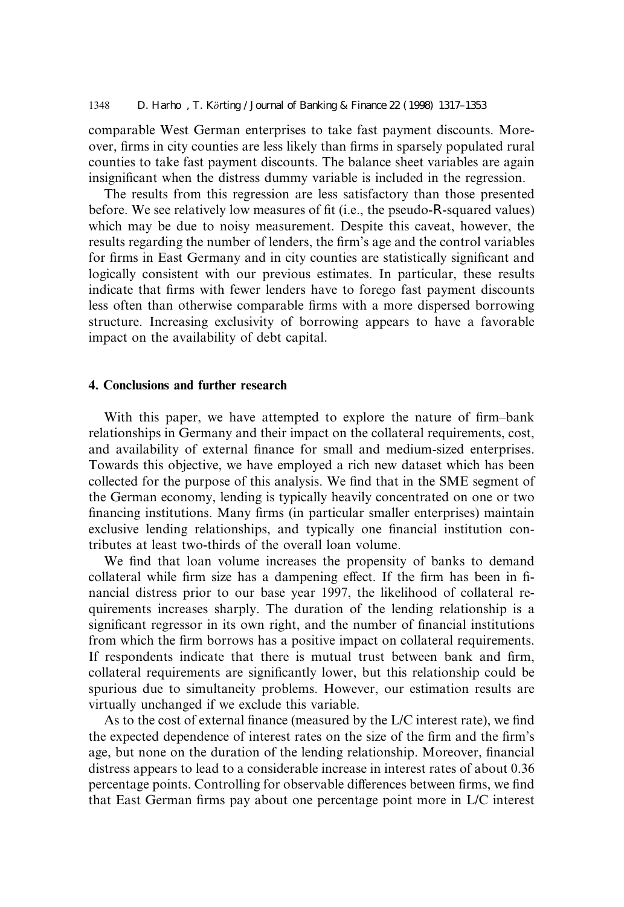comparable West German enterprises to take fast payment discounts. Moreover, firms in city counties are less likely than firms in sparsely populated rural counties to take fast payment discounts. The balance sheet variables are again insignificant when the distress dummy variable is included in the regression.

The results from this regression are less satisfactory than those presented before. We see relatively low measures of fit (i.e., the pseudo-R-squared values) which may be due to noisy measurement. Despite this caveat, however, the results regarding the number of lenders, the firm's age and the control variables for firms in East Germany and in city counties are statistically significant and logically consistent with our previous estimates. In particular, these results indicate that firms with fewer lenders have to forego fast payment discounts less often than otherwise comparable firms with a more dispersed borrowing structure. Increasing exclusivity of borrowing appears to have a favorable impact on the availability of debt capital.

#### 4. Conclusions and further research

With this paper, we have attempted to explore the nature of firm-bank relationships in Germany and their impact on the collateral requirements, cost, and availability of external finance for small and medium-sized enterprises. Towards this objective, we have employed a rich new dataset which has been collected for the purpose of this analysis. We find that in the SME segment of the German economy, lending is typically heavily concentrated on one or two financing institutions. Many firms (in particular smaller enterprises) maintain exclusive lending relationships, and typically one financial institution contributes at least two-thirds of the overall loan volume.

We find that loan volume increases the propensity of banks to demand collateral while firm size has a dampening effect. If the firm has been in financial distress prior to our base year 1997, the likelihood of collateral requirements increases sharply. The duration of the lending relationship is a significant regressor in its own right, and the number of financial institutions from which the firm borrows has a positive impact on collateral requirements. If respondents indicate that there is mutual trust between bank and firm, collateral requirements are significantly lower, but this relationship could be spurious due to simultaneity problems. However, our estimation results are virtually unchanged if we exclude this variable.

As to the cost of external finance (measured by the  $L/C$  interest rate), we find the expected dependence of interest rates on the size of the firm and the firm's age, but none on the duration of the lending relationship. Moreover, financial distress appears to lead to a considerable increase in interest rates of about 0.36 percentage points. Controlling for observable differences between firms, we find that East German firms pay about one percentage point more in  $L/C$  interest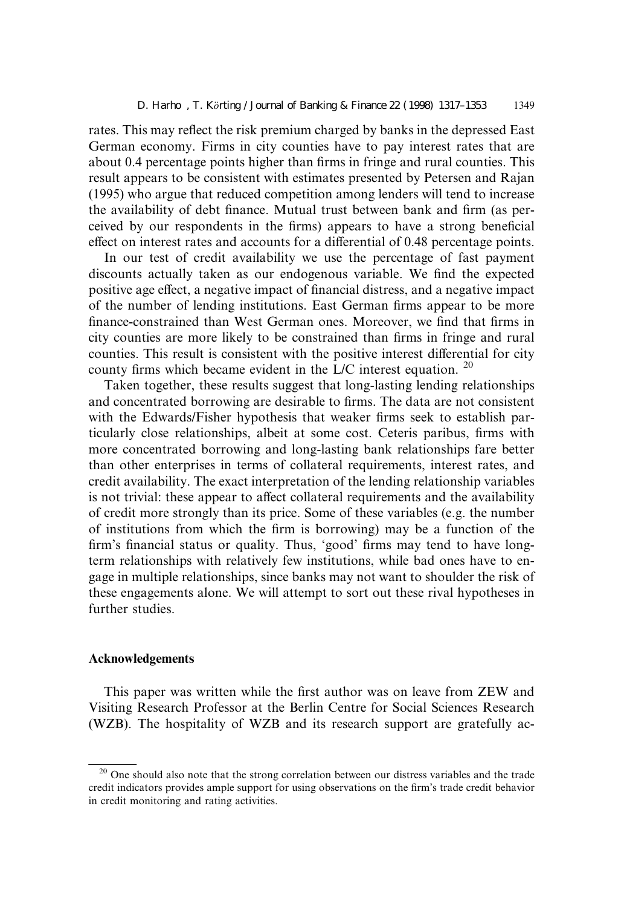rates. This may reflect the risk premium charged by banks in the depressed East German economy. Firms in city counties have to pay interest rates that are about 0.4 percentage points higher than firms in fringe and rural counties. This result appears to be consistent with estimates presented by Petersen and Rajan (1995) who argue that reduced competition among lenders will tend to increase the availability of debt finance. Mutual trust between bank and firm (as perceived by our respondents in the firms) appears to have a strong beneficial effect on interest rates and accounts for a differential of 0.48 percentage points.

In our test of credit availability we use the percentage of fast payment discounts actually taken as our endogenous variable. We find the expected positive age effect, a negative impact of financial distress, and a negative impact of the number of lending institutions. East German firms appear to be more finance-constrained than West German ones. Moreover, we find that firms in city counties are more likely to be constrained than firms in fringe and rural counties. This result is consistent with the positive interest differential for city county firms which became evident in the L/C interest equation.  $20$ 

Taken together, these results suggest that long-lasting lending relationships and concentrated borrowing are desirable to firms. The data are not consistent with the Edwards/Fisher hypothesis that weaker firms seek to establish particularly close relationships, albeit at some cost. Ceteris paribus, firms with more concentrated borrowing and long-lasting bank relationships fare better than other enterprises in terms of collateral requirements, interest rates, and credit availability. The exact interpretation of the lending relationship variables is not trivial: these appear to affect collateral requirements and the availability of credit more strongly than its price. Some of these variables (e.g. the number of institutions from which the firm is borrowing) may be a function of the firm's financial status or quality. Thus, 'good' firms may tend to have longterm relationships with relatively few institutions, while bad ones have to engage in multiple relationships, since banks may not want to shoulder the risk of these engagements alone. We will attempt to sort out these rival hypotheses in further studies.

## Acknowledgements

This paper was written while the first author was on leave from ZEW and Visiting Research Professor at the Berlin Centre for Social Sciences Research (WZB). The hospitality of WZB and its research support are gratefully ac-

<sup>&</sup>lt;sup>20</sup> One should also note that the strong correlation between our distress variables and the trade credit indicators provides ample support for using observations on the firm's trade credit behavior in credit monitoring and rating activities.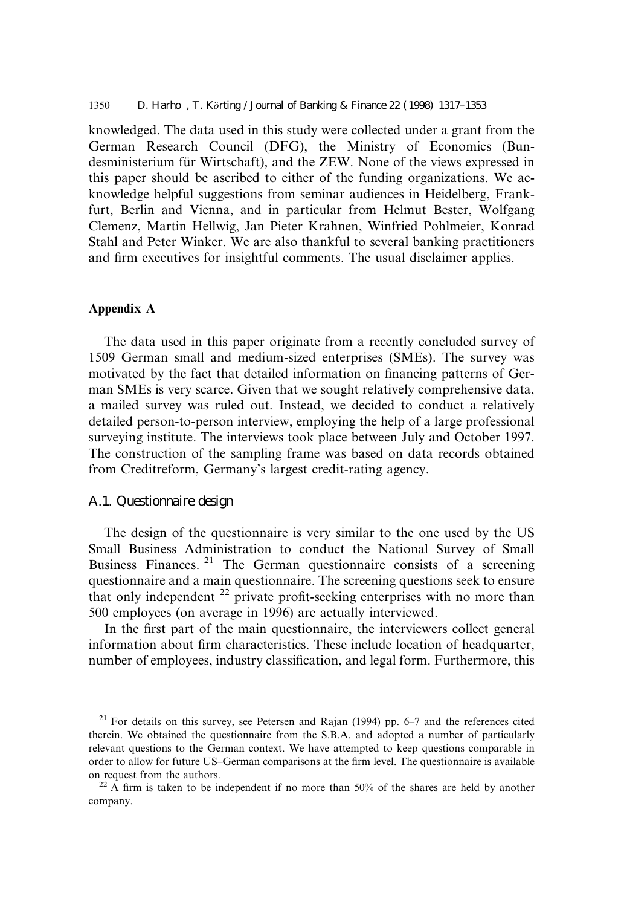knowledged. The data used in this study were collected under a grant from the German Research Council (DFG), the Ministry of Economics (Bundesministerium für Wirtschaft), and the ZEW. None of the views expressed in this paper should be ascribed to either of the funding organizations. We acknowledge helpful suggestions from seminar audiences in Heidelberg, Frankfurt, Berlin and Vienna, and in particular from Helmut Bester, Wolfgang Clemenz, Martin Hellwig, Jan Pieter Krahnen, Winfried Pohlmeier, Konrad Stahl and Peter Winker. We are also thankful to several banking practitioners and firm executives for insightful comments. The usual disclaimer applies.

## Appendix A

The data used in this paper originate from a recently concluded survey of 1509 German small and medium-sized enterprises (SMEs). The survey was motivated by the fact that detailed information on financing patterns of German SMEs is very scarce. Given that we sought relatively comprehensive data, a mailed survey was ruled out. Instead, we decided to conduct a relatively detailed person-to-person interview, employing the help of a large professional surveying institute. The interviews took place between July and October 1997. The construction of the sampling frame was based on data records obtained from Creditreform, Germany's largest credit-rating agency.

#### A.1. Questionnaire design

The design of the questionnaire is very similar to the one used by the US Small Business Administration to conduct the National Survey of Small Business Finances.<sup>21</sup> The German questionnaire consists of a screening questionnaire and a main questionnaire. The screening questions seek to ensure that only independent  $^{22}$  private profit-seeking enterprises with no more than 500 employees (on average in 1996) are actually interviewed.

In the first part of the main questionnaire, the interviewers collect general information about firm characteristics. These include location of headquarter, number of employees, industry classification, and legal form. Furthermore, this

 $21$  For details on this survey, see Petersen and Rajan (1994) pp. 6-7 and the references cited therein. We obtained the questionnaire from the S.B.A. and adopted a number of particularly relevant questions to the German context. We have attempted to keep questions comparable in order to allow for future US-German comparisons at the firm level. The questionnaire is available on request from the authors.<br><sup>22</sup> A firm is taken to be independent if no more than 50% of the shares are held by another

company.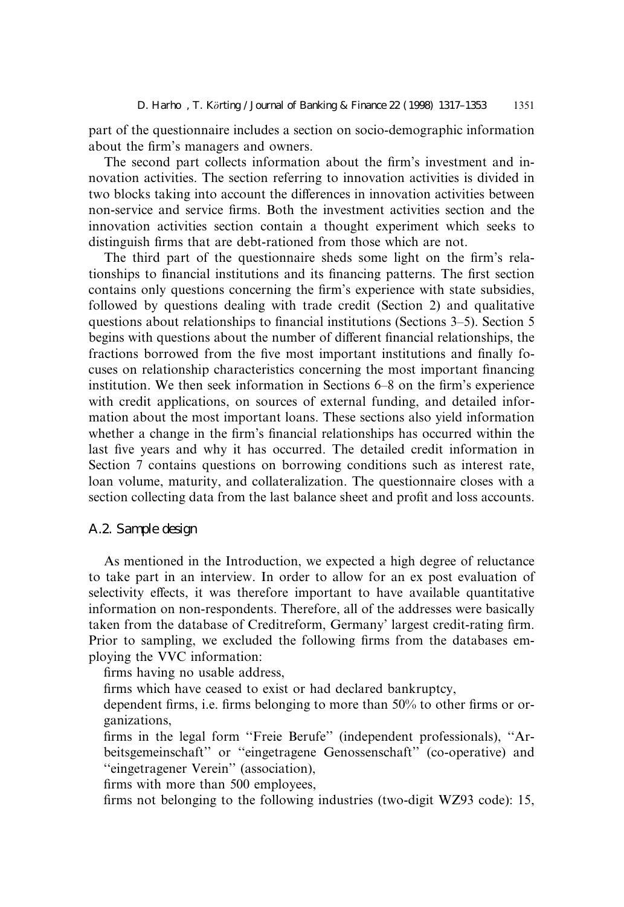part of the questionnaire includes a section on socio-demographic information about the firm's managers and owners.

The second part collects information about the firm's investment and innovation activities. The section referring to innovation activities is divided in two blocks taking into account the differences in innovation activities between non-service and service firms. Both the investment activities section and the innovation activities section contain a thought experiment which seeks to distinguish firms that are debt-rationed from those which are not.

The third part of the questionnaire sheds some light on the firm's relationships to financial institutions and its financing patterns. The first section contains only questions concerning the firm's experience with state subsidies, followed by questions dealing with trade credit (Section 2) and qualitative questions about relationships to financial institutions (Sections  $3-5$ ). Section 5 begins with questions about the number of different financial relationships, the fractions borrowed from the five most important institutions and finally focuses on relationship characteristics concerning the most important financing institution. We then seek information in Sections  $6-8$  on the firm's experience with credit applications, on sources of external funding, and detailed information about the most important loans. These sections also yield information whether a change in the firm's financial relationships has occurred within the last five years and why it has occurred. The detailed credit information in Section 7 contains questions on borrowing conditions such as interest rate, loan volume, maturity, and collateralization. The questionnaire closes with a section collecting data from the last balance sheet and profit and loss accounts.

#### A.2. Sample design

As mentioned in the Introduction, we expected a high degree of reluctance to take part in an interview. In order to allow for an ex post evaluation of selectivity effects, it was therefore important to have available quantitative information on non-respondents. Therefore, all of the addresses were basically taken from the database of Creditreform, Germany' largest credit-rating firm. Prior to sampling, we excluded the following firms from the databases employing the VVC information:

firms having no usable address.

firms which have ceased to exist or had declared bankruptcy,

dependent firms, i.e. firms belonging to more than 50% to other firms or organizations,

firms in the legal form "Freie Berufe" (independent professionals), "Arbeitsgemeinschaft" or "eingetragene Genossenschaft" (co-operative) and ``eingetragener Verein'' (association),

firms with more than 500 employees,

firms not belonging to the following industries (two-digit WZ93 code): 15,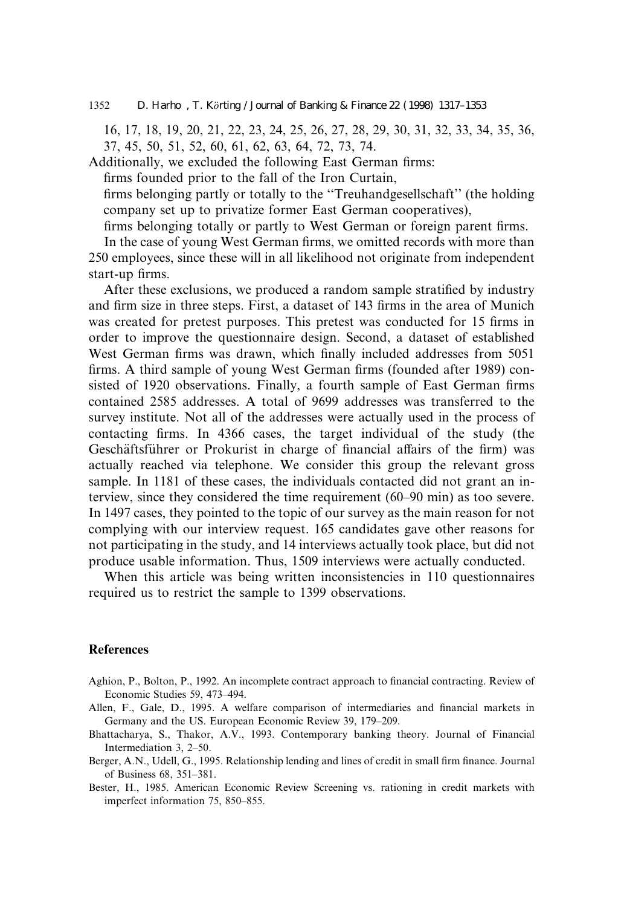1352 D. Harho, T. Körting / Journal of Banking & Finance 22 (1998) 1317–1353

16, 17, 18, 19, 20, 21, 22, 23, 24, 25, 26, 27, 28, 29, 30, 31, 32, 33, 34, 35, 36, 37, 45, 50, 51, 52, 60, 61, 62, 63, 64, 72, 73, 74.

Additionally, we excluded the following East German firms:

firms founded prior to the fall of the Iron Curtain,

firms belonging partly or totally to the "Treuhandgesellschaft" (the holding company set up to privatize former East German cooperatives),

firms belonging totally or partly to West German or foreign parent firms.

In the case of young West German firms, we omitted records with more than 250 employees, since these will in all likelihood not originate from independent start-up firms.

After these exclusions, we produced a random sample stratified by industry and firm size in three steps. First, a dataset of 143 firms in the area of Munich was created for pretest purposes. This pretest was conducted for 15 firms in order to improve the questionnaire design. Second, a dataset of established West German firms was drawn, which finally included addresses from 5051 firms. A third sample of young West German firms (founded after 1989) consisted of 1920 observations. Finally, a fourth sample of East German firms contained 2585 addresses. A total of 9699 addresses was transferred to the survey institute. Not all of the addresses were actually used in the process of contacting firms. In 4366 cases, the target individual of the study (the Geschäftsführer or Prokurist in charge of financial affairs of the firm) was actually reached via telephone. We consider this group the relevant gross sample. In 1181 of these cases, the individuals contacted did not grant an interview, since they considered the time requirement (60–90 min) as too severe. In 1497 cases, they pointed to the topic of our survey as the main reason for not complying with our interview request. 165 candidates gave other reasons for not participating in the study, and 14 interviews actually took place, but did not produce usable information. Thus, 1509 interviews were actually conducted.

When this article was being written inconsistencies in 110 questionnaires required us to restrict the sample to 1399 observations.

#### References

- Aghion, P., Bolton, P., 1992. An incomplete contract approach to financial contracting. Review of Economic Studies 59, 473-494.
- Allen, F., Gale, D., 1995. A welfare comparison of intermediaries and financial markets in Germany and the US. European Economic Review 39, 179–209.
- Bhattacharya, S., Thakor, A.V., 1993. Contemporary banking theory. Journal of Financial Intermediation 3, 2-50.
- Berger, A.N., Udell, G., 1995. Relationship lending and lines of credit in small firm finance. Journal of Business 68, 351-381.
- Bester, H., 1985. American Economic Review Screening vs. rationing in credit markets with imperfect information 75, 850-855.